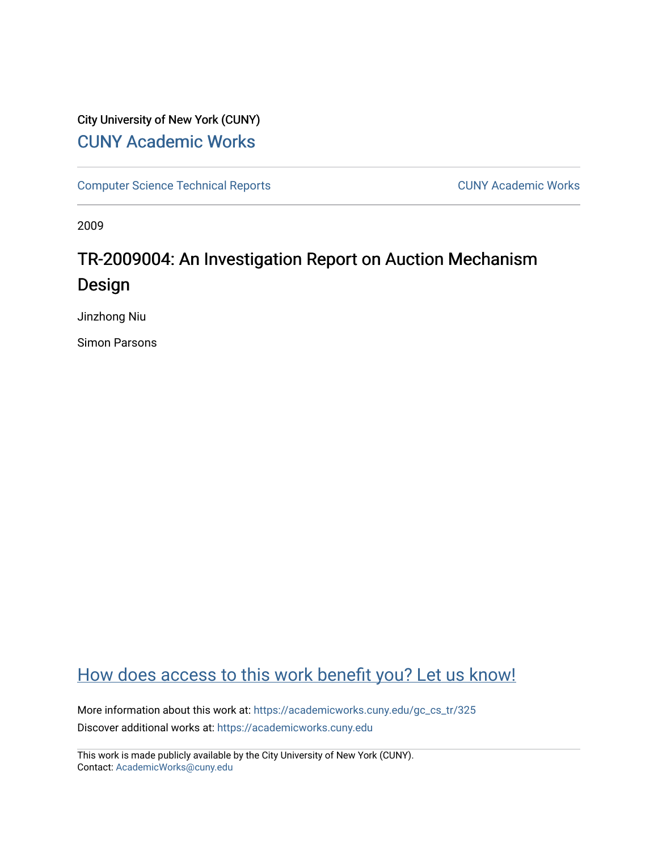## City University of New York (CUNY) [CUNY Academic Works](https://academicworks.cuny.edu/)

[Computer Science Technical Reports](https://academicworks.cuny.edu/gc_cs_tr) **CUNY Academic Works** CUNY Academic Works

2009

## TR-2009004: An Investigation Report on Auction Mechanism Design

Jinzhong Niu

Simon Parsons

## [How does access to this work benefit you? Let us know!](http://ols.cuny.edu/academicworks/?ref=https://academicworks.cuny.edu/gc_cs_tr/325)

More information about this work at: [https://academicworks.cuny.edu/gc\\_cs\\_tr/325](https://academicworks.cuny.edu/gc_cs_tr/325)  Discover additional works at: [https://academicworks.cuny.edu](https://academicworks.cuny.edu/?)

This work is made publicly available by the City University of New York (CUNY). Contact: [AcademicWorks@cuny.edu](mailto:AcademicWorks@cuny.edu)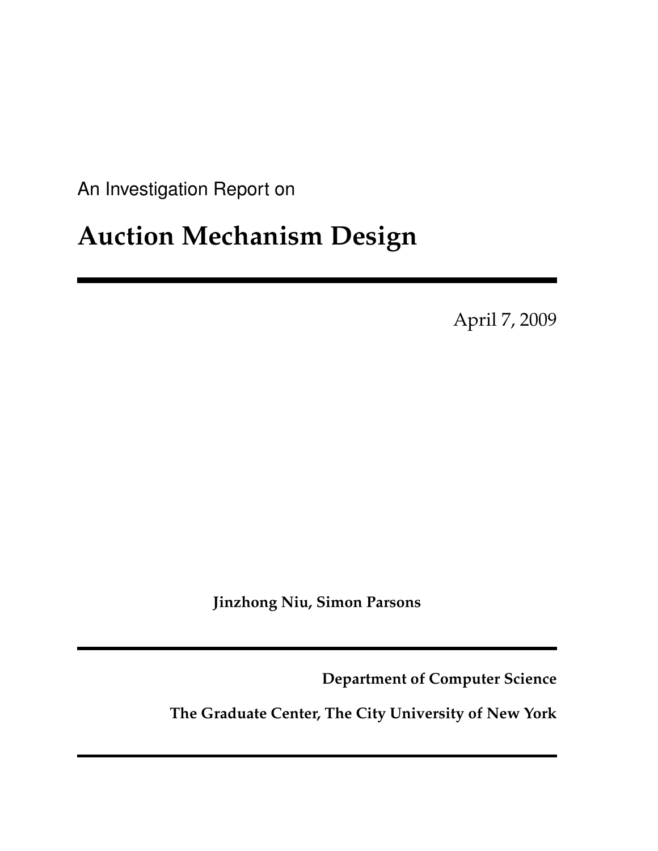<span id="page-1-0"></span>An Investigation Report on

# **Auction Mechanism Design**

April 7, 2009

**Jinzhong Niu, Simon Parsons**

**Department of Computer Science**

**The Graduate Center, The City University of New York**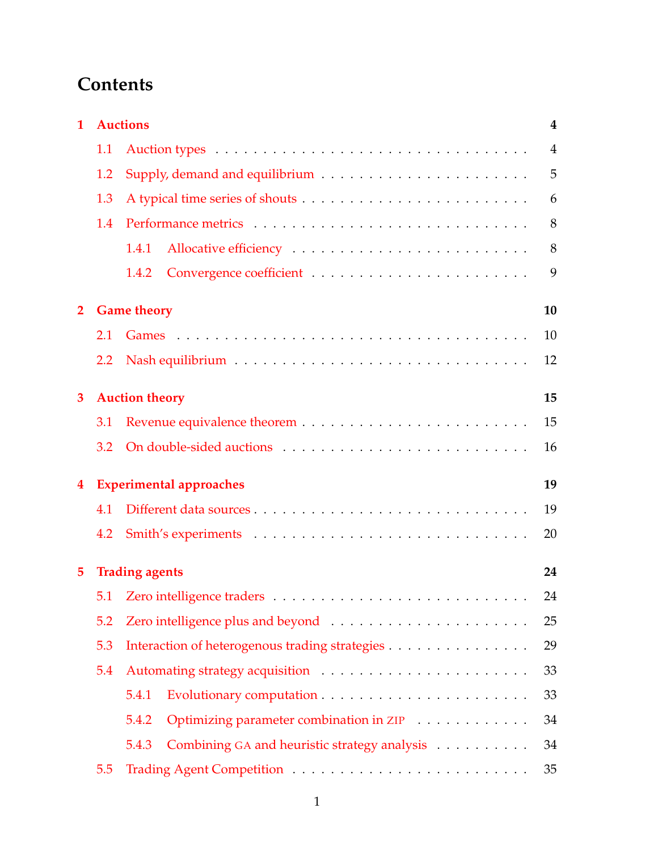## **Contents**

| $\mathbf{1}$            | <b>Auctions</b><br>$\overline{4}$    |                                                       |                |  |  |  |  |
|-------------------------|--------------------------------------|-------------------------------------------------------|----------------|--|--|--|--|
|                         | 1.1                                  |                                                       | $\overline{4}$ |  |  |  |  |
|                         | 1.2                                  | 5                                                     |                |  |  |  |  |
|                         | 1.3                                  |                                                       | 6              |  |  |  |  |
|                         | 1.4                                  |                                                       | 8              |  |  |  |  |
|                         |                                      | 1.4.1                                                 | 8              |  |  |  |  |
|                         |                                      | 1.4.2                                                 | 9              |  |  |  |  |
| $\mathbf{2}$            |                                      | <b>Game theory</b><br>10                              |                |  |  |  |  |
|                         | 2.1                                  |                                                       | 10             |  |  |  |  |
|                         | $2.2\phantom{0}$                     |                                                       | 12             |  |  |  |  |
| 3                       |                                      | <b>Auction theory</b>                                 | 15             |  |  |  |  |
|                         | 3.1                                  |                                                       | 15             |  |  |  |  |
|                         | 3.2                                  |                                                       | 16             |  |  |  |  |
| $\overline{\mathbf{4}}$ | <b>Experimental approaches</b><br>19 |                                                       |                |  |  |  |  |
|                         | 4.1                                  |                                                       | 19             |  |  |  |  |
|                         | 4.2                                  |                                                       | 20             |  |  |  |  |
| 5                       |                                      | <b>Trading agents</b>                                 | 24             |  |  |  |  |
|                         |                                      |                                                       | 24             |  |  |  |  |
|                         | 5.2                                  |                                                       | 25             |  |  |  |  |
|                         | 5.3                                  | 29<br>Interaction of heterogenous trading strategies  |                |  |  |  |  |
|                         | 5.4                                  |                                                       |                |  |  |  |  |
|                         |                                      | 5.4.1                                                 | 33             |  |  |  |  |
|                         |                                      | 5.4.2<br>Optimizing parameter combination in ZIP      | 34             |  |  |  |  |
|                         |                                      | Combining GA and heuristic strategy analysis<br>5.4.3 | 34             |  |  |  |  |
|                         | 5.5                                  |                                                       | 35             |  |  |  |  |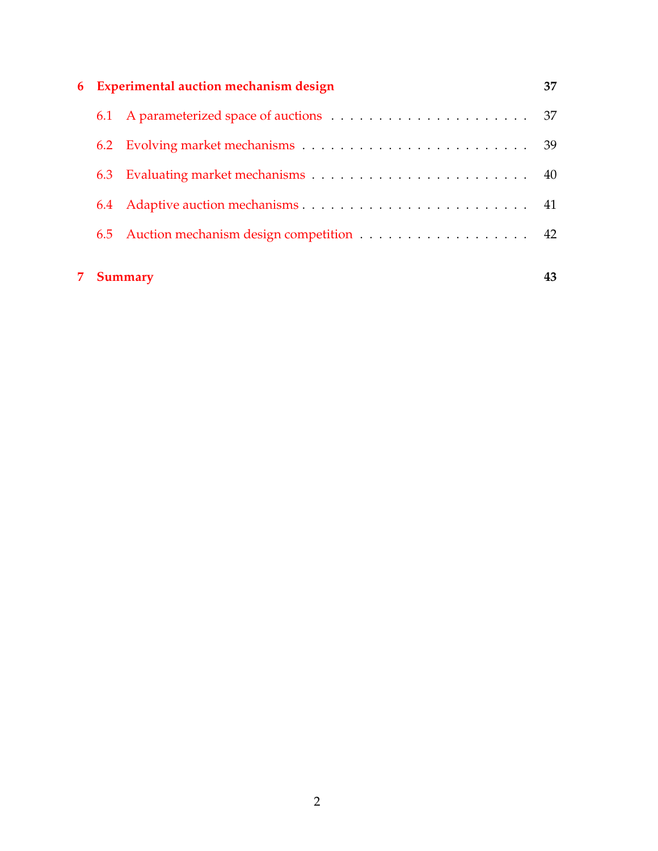| 6              | <b>Experimental auction mechanism design</b> |                                             |    |  |  |
|----------------|----------------------------------------------|---------------------------------------------|----|--|--|
|                |                                              |                                             | 37 |  |  |
|                |                                              |                                             |    |  |  |
|                | 6.3                                          |                                             |    |  |  |
|                | 6.4                                          |                                             |    |  |  |
|                |                                              | 6.5 Auction mechanism design competition 42 |    |  |  |
| <b>Summary</b> |                                              |                                             |    |  |  |
|                |                                              |                                             |    |  |  |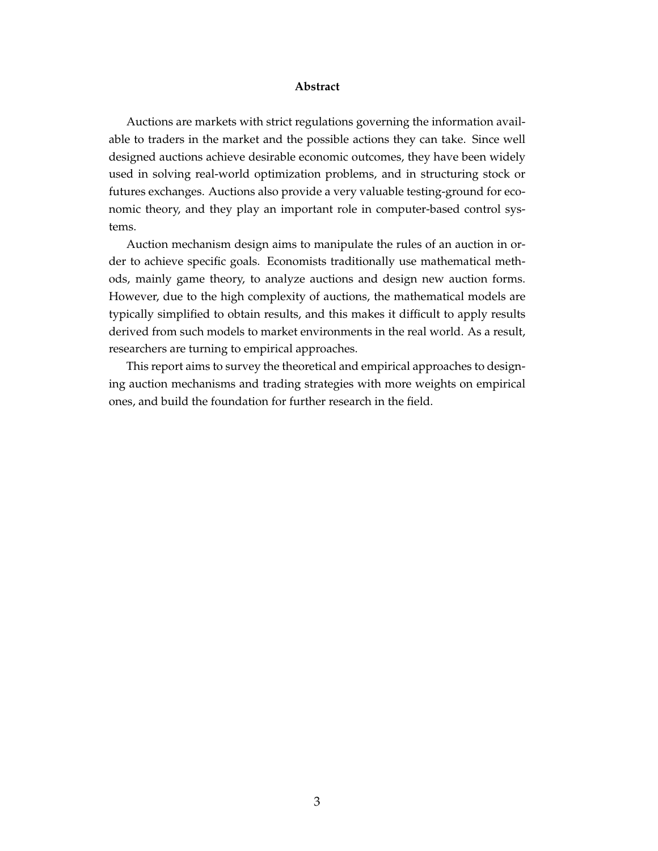#### **Abstract**

Auctions are markets with strict regulations governing the information available to traders in the market and the possible actions they can take. Since well designed auctions achieve desirable economic outcomes, they have been widely used in solving real-world optimization problems, and in structuring stock or futures exchanges. Auctions also provide a very valuable testing-ground for economic theory, and they play an important role in computer-based control systems.

Auction mechanism design aims to manipulate the rules of an auction in order to achieve specific goals. Economists traditionally use mathematical methods, mainly game theory, to analyze auctions and design new auction forms. However, due to the high complexity of auctions, the mathematical models are typically simplified to obtain results, and this makes it difficult to apply results derived from such models to market environments in the real world. As a result, researchers are turning to empirical approaches.

This report aims to survey the theoretical and empirical approaches to designing auction mechanisms and trading strategies with more weights on empirical ones, and build the foundation for further research in the field.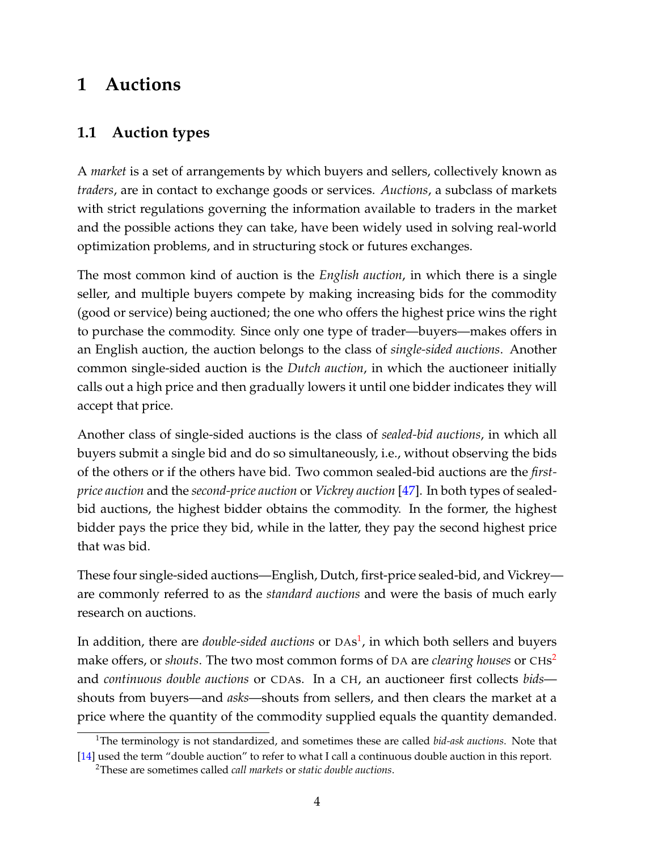## <span id="page-5-0"></span>**1 Auctions**

### <span id="page-5-1"></span>**1.1 Auction types**

A *market* is a set of arrangements by which buyers and sellers, collectively known as *traders*, are in contact to exchange goods or services. *Auctions*, a subclass of markets with strict regulations governing the information available to traders in the market and the possible actions they can take, have been widely used in solving real-world optimization problems, and in structuring stock or futures exchanges.

The most common kind of auction is the *English auction*, in which there is a single seller, and multiple buyers compete by making increasing bids for the commodity (good or service) being auctioned; the one who offers the highest price wins the right to purchase the commodity. Since only one type of trader—buyers—makes offers in an English auction, the auction belongs to the class of *single-sided auctions*. Another common single-sided auction is the *Dutch auction*, in which the auctioneer initially calls out a high price and then gradually lowers it until one bidder indicates they will accept that price.

Another class of single-sided auctions is the class of *sealed-bid auctions*, in which all buyers submit a single bid and do so simultaneously, i.e., without observing the bids of the others or if the others have bid. Two common sealed-bid auctions are the *firstprice auction* and the *second-price auction* or *Vickrey auction* [\[47\]](#page-50-0). In both types of sealedbid auctions, the highest bidder obtains the commodity. In the former, the highest bidder pays the price they bid, while in the latter, they pay the second highest price that was bid.

These four single-sided auctions—English, Dutch, first-price sealed-bid, and Vickrey are commonly referred to as the *standard auctions* and were the basis of much early research on auctions.

In addition, there are *double-sided auctions* or DAs [1](#page-1-0) , in which both sellers and buyers make offers, or *shouts*. The two most common forms of DA are *clearing houses* or CHs [2](#page-1-0) and *continuous double auctions* or CDAs. In a CH, an auctioneer first collects *bids* shouts from buyers—and *asks*—shouts from sellers, and then clears the market at a price where the quantity of the commodity supplied equals the quantity demanded.

<sup>1</sup>The terminology is not standardized, and sometimes these are called *bid-ask auctions*. Note that [\[14\]](#page-47-0) used the term "double auction" to refer to what I call a continuous double auction in this report.

<sup>2</sup>These are sometimes called *call markets* or *static double auctions*.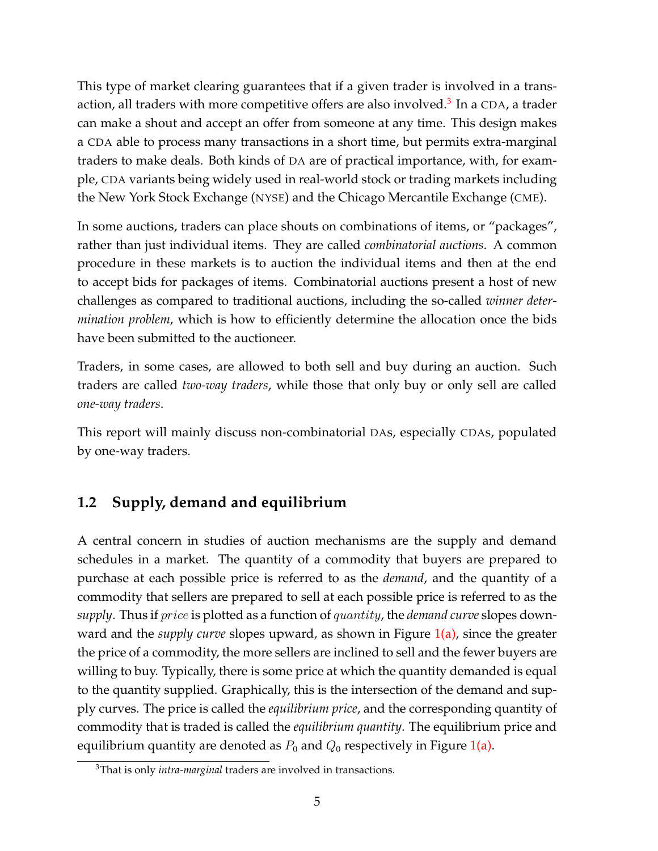This type of market clearing guarantees that if a given trader is involved in a trans-action, all traders with more competitive offers are also involved.<sup>[3](#page-1-0)</sup> In a CDA, a trader can make a shout and accept an offer from someone at any time. This design makes a CDA able to process many transactions in a short time, but permits extra-marginal traders to make deals. Both kinds of DA are of practical importance, with, for example, CDA variants being widely used in real-world stock or trading markets including the New York Stock Exchange (NYSE) and the Chicago Mercantile Exchange (CME).

In some auctions, traders can place shouts on combinations of items, or "packages", rather than just individual items. They are called *combinatorial auctions*. A common procedure in these markets is to auction the individual items and then at the end to accept bids for packages of items. Combinatorial auctions present a host of new challenges as compared to traditional auctions, including the so-called *winner determination problem*, which is how to efficiently determine the allocation once the bids have been submitted to the auctioneer.

Traders, in some cases, are allowed to both sell and buy during an auction. Such traders are called *two-way traders*, while those that only buy or only sell are called *one-way traders*.

This report will mainly discuss non-combinatorial DAs, especially CDAs, populated by one-way traders.

### <span id="page-6-0"></span>**1.2 Supply, demand and equilibrium**

A central concern in studies of auction mechanisms are the supply and demand schedules in a market. The quantity of a commodity that buyers are prepared to purchase at each possible price is referred to as the *demand*, and the quantity of a commodity that sellers are prepared to sell at each possible price is referred to as the *supply*. Thus if price is plotted as a function of quantity, the *demand curve* slopes downward and the *supply curve* slopes upward, as shown in Figure [1\(a\),](#page-7-1) since the greater the price of a commodity, the more sellers are inclined to sell and the fewer buyers are willing to buy. Typically, there is some price at which the quantity demanded is equal to the quantity supplied. Graphically, this is the intersection of the demand and supply curves. The price is called the *equilibrium price*, and the corresponding quantity of commodity that is traded is called the *equilibrium quantity*. The equilibrium price and equilibrium quantity are denoted as  $P_0$  and  $Q_0$  respectively in Figure [1\(a\).](#page-7-1)

<sup>3</sup>That is only *intra-marginal* traders are involved in transactions.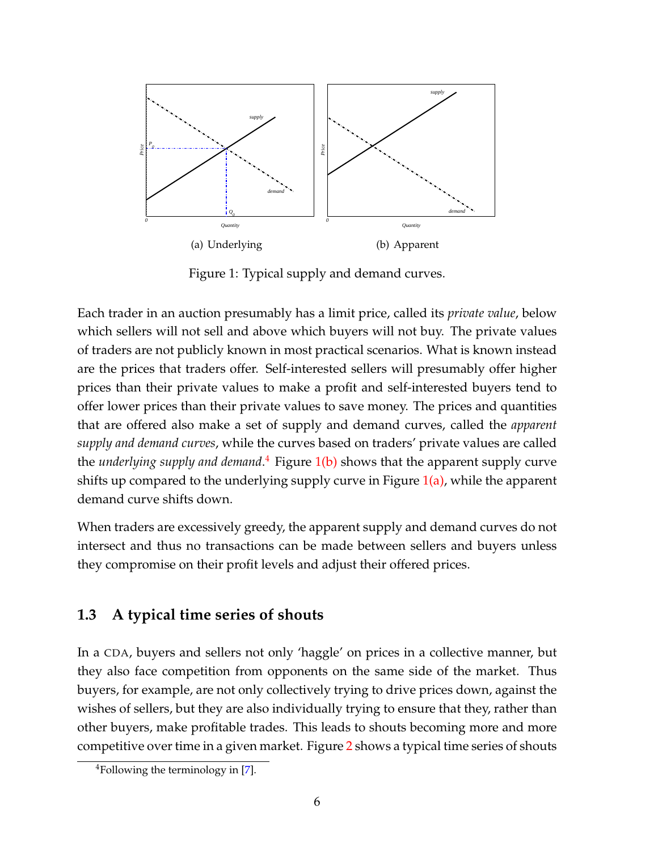

<span id="page-7-3"></span><span id="page-7-2"></span><span id="page-7-1"></span>Figure 1: Typical supply and demand curves.

Each trader in an auction presumably has a limit price, called its *private value*, below which sellers will not sell and above which buyers will not buy. The private values of traders are not publicly known in most practical scenarios. What is known instead are the prices that traders offer. Self-interested sellers will presumably offer higher prices than their private values to make a profit and self-interested buyers tend to offer lower prices than their private values to save money. The prices and quantities that are offered also make a set of supply and demand curves, called the *apparent supply and demand curves*, while the curves based on traders' private values are called the *underlying supply and demand*.<sup>[4](#page-1-0)</sup> Figure [1\(b\)](#page-7-2) shows that the apparent supply curve shifts up compared to the underlying supply curve in Figure  $1(a)$ , while the apparent demand curve shifts down.

When traders are excessively greedy, the apparent supply and demand curves do not intersect and thus no transactions can be made between sellers and buyers unless they compromise on their profit levels and adjust their offered prices.

#### <span id="page-7-0"></span>**1.3 A typical time series of shouts**

In a CDA, buyers and sellers not only 'haggle' on prices in a collective manner, but they also face competition from opponents on the same side of the market. Thus buyers, for example, are not only collectively trying to drive prices down, against the wishes of sellers, but they are also individually trying to ensure that they, rather than other buyers, make profitable trades. This leads to shouts becoming more and more competitive over time in a given market. Figure [2](#page-8-0) shows a typical time series of shouts

<sup>4</sup>Following the terminology in [\[7\]](#page-46-0).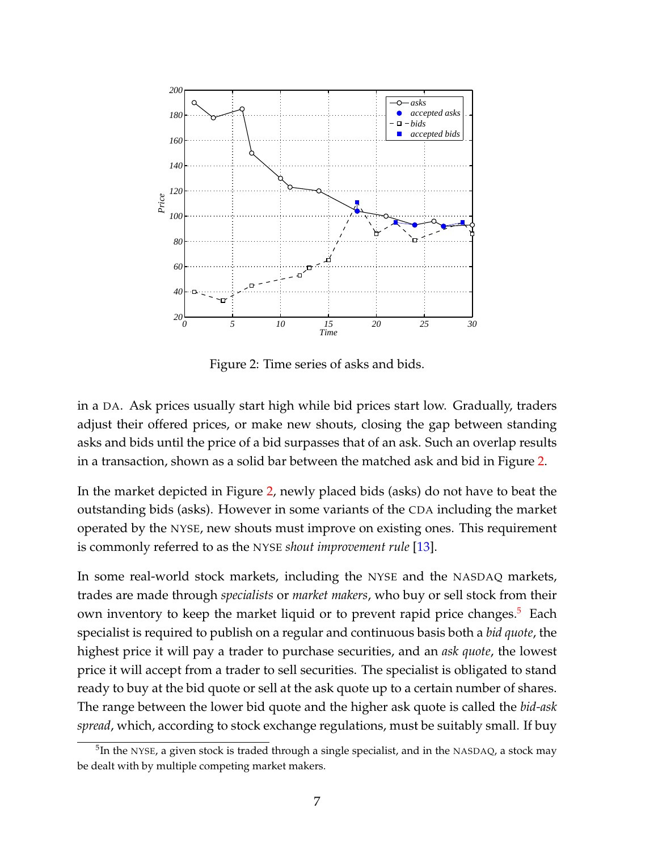

<span id="page-8-0"></span>Figure 2: Time series of asks and bids.

in a DA. Ask prices usually start high while bid prices start low. Gradually, traders adjust their offered prices, or make new shouts, closing the gap between standing asks and bids until the price of a bid surpasses that of an ask. Such an overlap results in a transaction, shown as a solid bar between the matched ask and bid in Figure [2.](#page-8-0)

In the market depicted in Figure [2,](#page-8-0) newly placed bids (asks) do not have to beat the outstanding bids (asks). However in some variants of the CDA including the market operated by the NYSE, new shouts must improve on existing ones. This requirement is commonly referred to as the NYSE *shout improvement rule* [\[13\]](#page-47-1).

In some real-world stock markets, including the NYSE and the NASDAQ markets, trades are made through *specialists* or *market makers*, who buy or sell stock from their own inventory to keep the market liquid or to prevent rapid price changes.<sup>[5](#page-1-0)</sup> Each specialist is required to publish on a regular and continuous basis both a *bid quote*, the highest price it will pay a trader to purchase securities, and an *ask quote*, the lowest price it will accept from a trader to sell securities. The specialist is obligated to stand ready to buy at the bid quote or sell at the ask quote up to a certain number of shares. The range between the lower bid quote and the higher ask quote is called the *bid-ask spread*, which, according to stock exchange regulations, must be suitably small. If buy

 $^5$ In the NYSE, a given stock is traded through a single specialist, and in the NASDAQ, a stock may be dealt with by multiple competing market makers.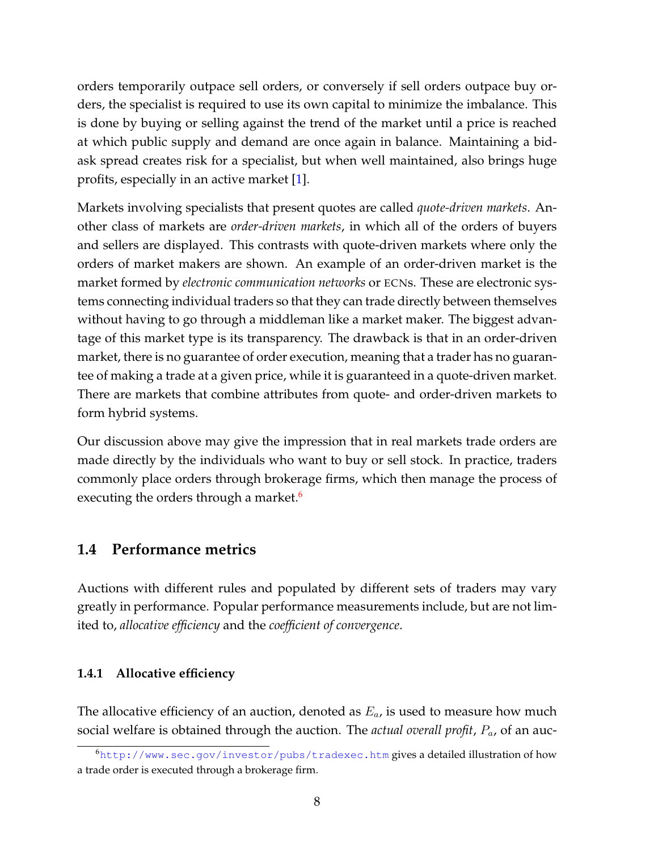orders temporarily outpace sell orders, or conversely if sell orders outpace buy orders, the specialist is required to use its own capital to minimize the imbalance. This is done by buying or selling against the trend of the market until a price is reached at which public supply and demand are once again in balance. Maintaining a bidask spread creates risk for a specialist, but when well maintained, also brings huge profits, especially in an active market [\[1\]](#page-46-1).

Markets involving specialists that present quotes are called *quote-driven markets*. Another class of markets are *order-driven markets*, in which all of the orders of buyers and sellers are displayed. This contrasts with quote-driven markets where only the orders of market makers are shown. An example of an order-driven market is the market formed by *electronic communication networks* or ECNs. These are electronic systems connecting individual traders so that they can trade directly between themselves without having to go through a middleman like a market maker. The biggest advantage of this market type is its transparency. The drawback is that in an order-driven market, there is no guarantee of order execution, meaning that a trader has no guarantee of making a trade at a given price, while it is guaranteed in a quote-driven market. There are markets that combine attributes from quote- and order-driven markets to form hybrid systems.

Our discussion above may give the impression that in real markets trade orders are made directly by the individuals who want to buy or sell stock. In practice, traders commonly place orders through brokerage firms, which then manage the process of executing the orders through a market.<sup>[6](#page-1-0)</sup>

### <span id="page-9-0"></span>**1.4 Performance metrics**

Auctions with different rules and populated by different sets of traders may vary greatly in performance. Popular performance measurements include, but are not limited to, *allocative efficiency* and the *coefficient of convergence*.

#### <span id="page-9-1"></span>**1.4.1 Allocative efficiency**

The allocative efficiency of an auction, denoted as  $E_a$ , is used to measure how much social welfare is obtained through the auction. The *actual overall profit*, Pa, of an auc-

<sup>6</sup><http://www.sec.gov/investor/pubs/tradexec.htm> gives a detailed illustration of how a trade order is executed through a brokerage firm.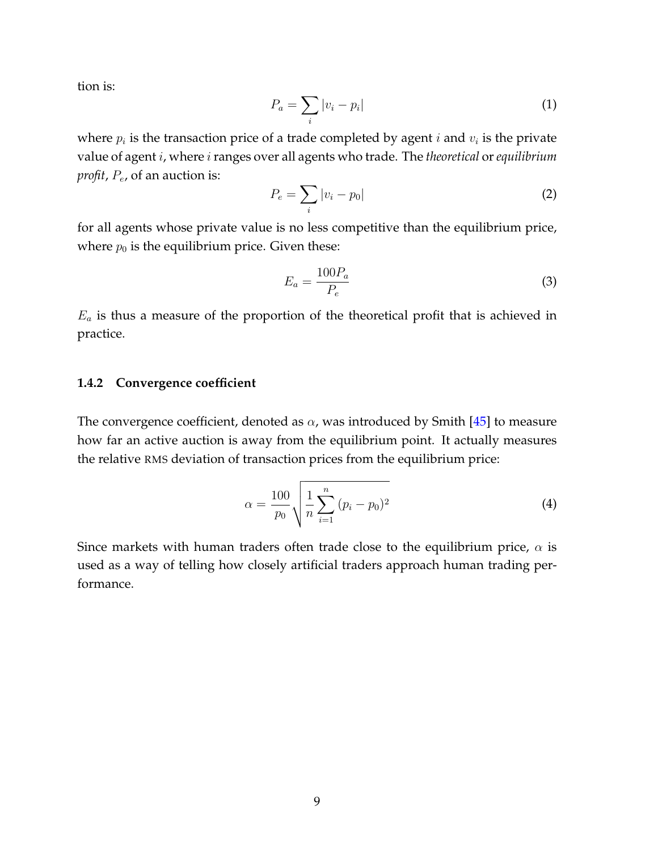tion is:

$$
P_a = \sum_i |v_i - p_i| \tag{1}
$$

where  $p_i$  is the transaction price of a trade completed by agent  $i$  and  $v_i$  is the private value of agent *i*, where *i* ranges over all agents who trade. The *theoretical* or *equilibrium profit, P<sub>e</sub>*, of an auction is:

$$
P_e = \sum_i |v_i - p_0| \tag{2}
$$

for all agents whose private value is no less competitive than the equilibrium price, where  $p_0$  is the equilibrium price. Given these:

$$
E_a = \frac{100P_a}{P_e} \tag{3}
$$

 $E_a$  is thus a measure of the proportion of the theoretical profit that is achieved in practice.

#### <span id="page-10-0"></span>**1.4.2 Convergence coefficient**

The convergence coefficient, denoted as  $\alpha$ , was introduced by Smith [\[45\]](#page-50-1) to measure how far an active auction is away from the equilibrium point. It actually measures the relative RMS deviation of transaction prices from the equilibrium price:

<span id="page-10-1"></span>
$$
\alpha = \frac{100}{p_0} \sqrt{\frac{1}{n} \sum_{i=1}^{n} (p_i - p_0)^2}
$$
 (4)

Since markets with human traders often trade close to the equilibrium price,  $\alpha$  is used as a way of telling how closely artificial traders approach human trading performance.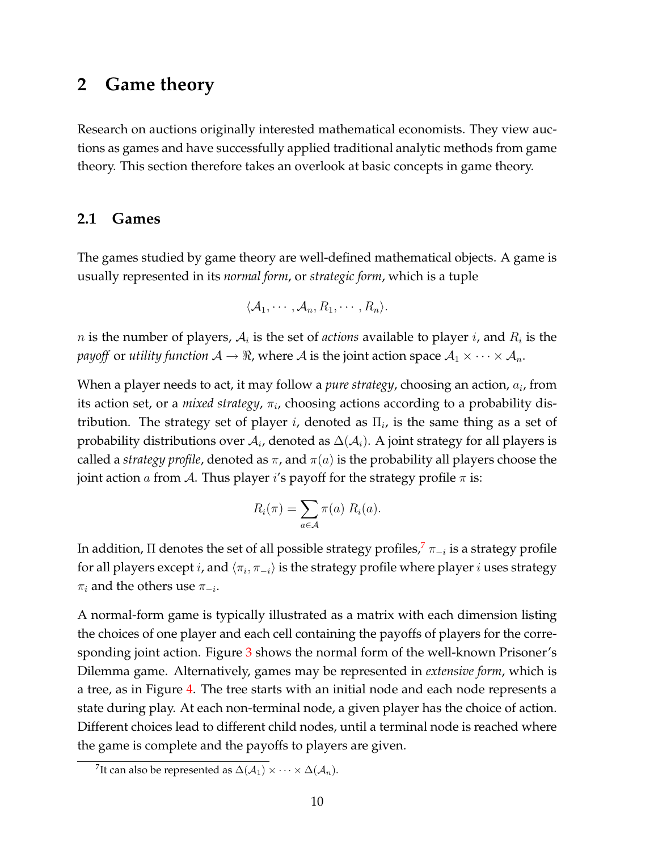### <span id="page-11-0"></span>**2 Game theory**

Research on auctions originally interested mathematical economists. They view auctions as games and have successfully applied traditional analytic methods from game theory. This section therefore takes an overlook at basic concepts in game theory.

#### <span id="page-11-1"></span>**2.1 Games**

The games studied by game theory are well-defined mathematical objects. A game is usually represented in its *normal form*, or *strategic form*, which is a tuple

$$
\langle A_1,\cdots,A_n,R_1,\cdots,R_n\rangle.
$$

 $n$  is the number of players,  $A_i$  is the set of *actions* available to player  $i$ , and  $R_i$  is the *payoff* or *utility function*  $A \to \Re$ , where A is the joint action space  $A_1 \times \cdots \times A_n$ .

When a player needs to act, it may follow a *pure strategy*, choosing an action,  $a_i$ , from its action set, or a *mixed strategy,*  $\pi_i$ , choosing actions according to a probability distribution. The strategy set of player *i*, denoted as  $\Pi_i$ , is the same thing as a set of probability distributions over  $\mathcal{A}_i$ , denoted as  $\Delta(\mathcal{A}_i)$ . A joint strategy for all players is called a *strategy profile*, denoted as  $\pi$ , and  $\pi(a)$  is the probability all players choose the joint action a from A. Thus player i's payoff for the strategy profile  $\pi$  is:

$$
R_i(\pi) = \sum_{a \in \mathcal{A}} \pi(a) \; R_i(a).
$$

In addition,  $\Pi$  denotes the set of all possible strategy profiles, $^7$  $^7$   $\pi_{-i}$  is a strategy profile for all players except  $i$ , and  $\langle \pi_i, \pi_{-i}\rangle$  is the strategy profile where player  $i$  uses strategy  $\pi_i$  and the others use  $\pi_{-i}$ .

A normal-form game is typically illustrated as a matrix with each dimension listing the choices of one player and each cell containing the payoffs of players for the corre-sponding joint action. Figure [3](#page-12-0) shows the normal form of the well-known Prisoner's Dilemma game. Alternatively, games may be represented in *extensive form*, which is a tree, as in Figure [4.](#page-12-1) The tree starts with an initial node and each node represents a state during play. At each non-terminal node, a given player has the choice of action. Different choices lead to different child nodes, until a terminal node is reached where the game is complete and the payoffs to players are given.

 $^7$ It can also be represented as  $\Delta(\mathcal{A}_1)\times\cdots\times\Delta(\mathcal{A}_n).$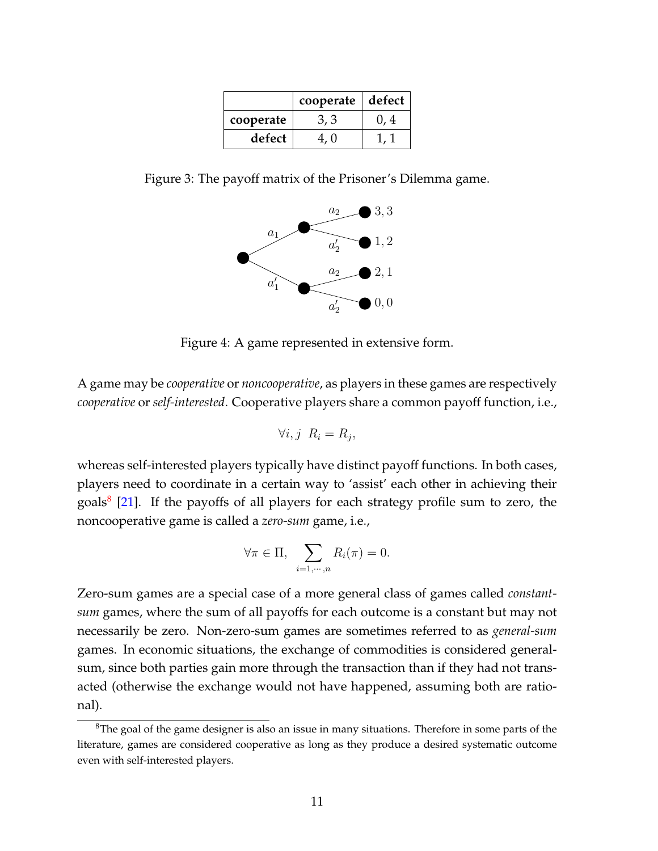|           | cooperate | defect |  |
|-----------|-----------|--------|--|
| cooperate |           |        |  |
| defect    |           |        |  |

Figure 3: The payoff matrix of the Prisoner's Dilemma game.

<span id="page-12-0"></span>

<span id="page-12-1"></span>Figure 4: A game represented in extensive form.

A game may be *cooperative* or *noncooperative*, as players in these games are respectively *cooperative* or *self-interested*. Cooperative players share a common payoff function, i.e.,

$$
\forall i, j \ \ R_i = R_j,
$$

whereas self-interested players typically have distinct payoff functions. In both cases, players need to coordinate in a certain way to 'assist' each other in achieving their goals<sup>[8](#page-1-0)</sup> [\[21\]](#page-47-2). If the payoffs of all players for each strategy profile sum to zero, the noncooperative game is called a *zero-sum* game, i.e.,

$$
\forall \pi \in \Pi, \sum_{i=1,\dots,n} R_i(\pi) = 0.
$$

Zero-sum games are a special case of a more general class of games called *constantsum* games, where the sum of all payoffs for each outcome is a constant but may not necessarily be zero. Non-zero-sum games are sometimes referred to as *general-sum* games. In economic situations, the exchange of commodities is considered generalsum, since both parties gain more through the transaction than if they had not transacted (otherwise the exchange would not have happened, assuming both are rational).

<sup>&</sup>lt;sup>8</sup>The goal of the game designer is also an issue in many situations. Therefore in some parts of the literature, games are considered cooperative as long as they produce a desired systematic outcome even with self-interested players.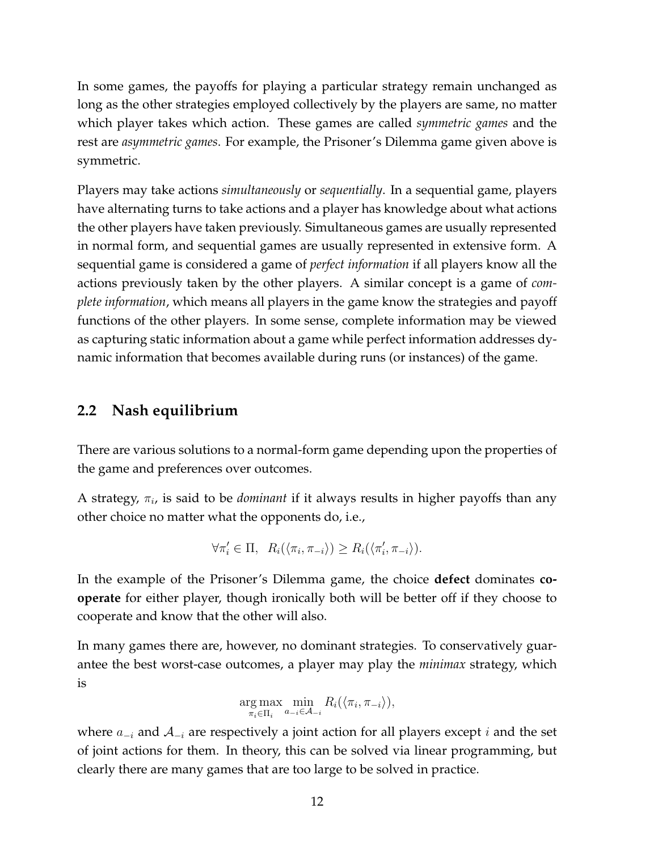In some games, the payoffs for playing a particular strategy remain unchanged as long as the other strategies employed collectively by the players are same, no matter which player takes which action. These games are called *symmetric games* and the rest are *asymmetric games*. For example, the Prisoner's Dilemma game given above is symmetric.

Players may take actions *simultaneously* or *sequentially*. In a sequential game, players have alternating turns to take actions and a player has knowledge about what actions the other players have taken previously. Simultaneous games are usually represented in normal form, and sequential games are usually represented in extensive form. A sequential game is considered a game of *perfect information* if all players know all the actions previously taken by the other players. A similar concept is a game of *complete information*, which means all players in the game know the strategies and payoff functions of the other players. In some sense, complete information may be viewed as capturing static information about a game while perfect information addresses dynamic information that becomes available during runs (or instances) of the game.

#### <span id="page-13-0"></span>**2.2 Nash equilibrium**

There are various solutions to a normal-form game depending upon the properties of the game and preferences over outcomes.

A strategy,  $\pi_i$ , is said to be *dominant* if it always results in higher payoffs than any other choice no matter what the opponents do, i.e.,

$$
\forall \pi'_i \in \Pi, \ R_i(\langle \pi_i, \pi_{-i} \rangle) \ge R_i(\langle \pi'_i, \pi_{-i} \rangle).
$$

In the example of the Prisoner's Dilemma game, the choice **defect** dominates **cooperate** for either player, though ironically both will be better off if they choose to cooperate and know that the other will also.

In many games there are, however, no dominant strategies. To conservatively guarantee the best worst-case outcomes, a player may play the *minimax* strategy, which is

$$
\underset{\pi_i \in \Pi_i}{\arg \max} \underset{a_{-i} \in \mathcal{A}_{-i}}{\min} R_i(\langle \pi_i, \pi_{-i} \rangle),
$$

where  $a_{-i}$  and  $\mathcal{A}_{-i}$  are respectively a joint action for all players except i and the set of joint actions for them. In theory, this can be solved via linear programming, but clearly there are many games that are too large to be solved in practice.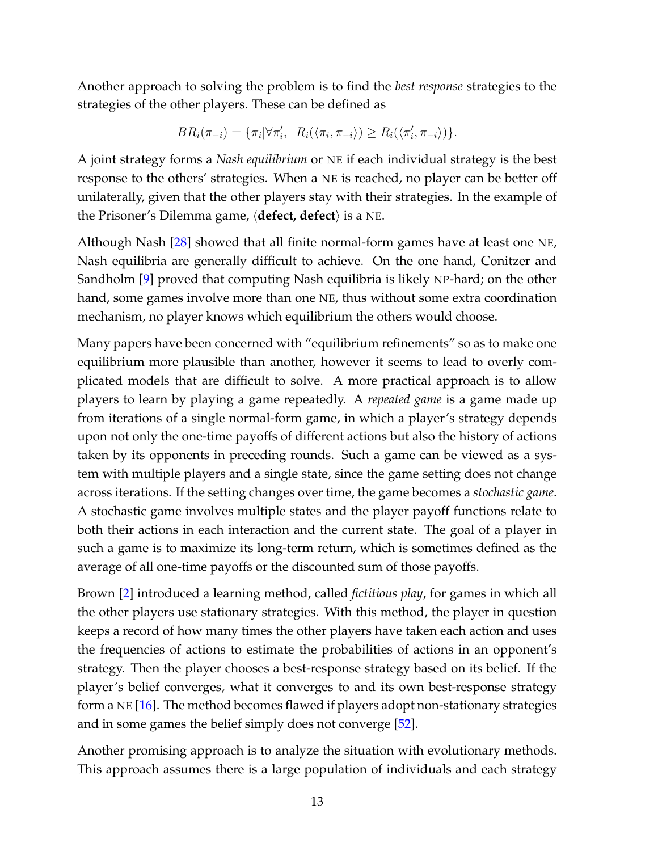Another approach to solving the problem is to find the *best response* strategies to the strategies of the other players. These can be defined as

$$
BR_i(\pi_{-i}) = \{\pi_i | \forall \pi'_i, \ R_i(\langle \pi_i, \pi_{-i} \rangle) \geq R_i(\langle \pi'_i, \pi_{-i} \rangle) \}.
$$

A joint strategy forms a *Nash equilibrium* or NE if each individual strategy is the best response to the others' strategies. When a NE is reached, no player can be better off unilaterally, given that the other players stay with their strategies. In the example of the Prisoner's Dilemma game,  $\langle$  defect, defect $\rangle$  is a NE.

Although Nash [\[28\]](#page-48-0) showed that all finite normal-form games have at least one NE, Nash equilibria are generally difficult to achieve. On the one hand, Conitzer and Sandholm [\[9\]](#page-46-2) proved that computing Nash equilibria is likely NP-hard; on the other hand, some games involve more than one NE, thus without some extra coordination mechanism, no player knows which equilibrium the others would choose.

Many papers have been concerned with "equilibrium refinements" so as to make one equilibrium more plausible than another, however it seems to lead to overly complicated models that are difficult to solve. A more practical approach is to allow players to learn by playing a game repeatedly. A *repeated game* is a game made up from iterations of a single normal-form game, in which a player's strategy depends upon not only the one-time payoffs of different actions but also the history of actions taken by its opponents in preceding rounds. Such a game can be viewed as a system with multiple players and a single state, since the game setting does not change across iterations. If the setting changes over time, the game becomes a *stochastic game*. A stochastic game involves multiple states and the player payoff functions relate to both their actions in each interaction and the current state. The goal of a player in such a game is to maximize its long-term return, which is sometimes defined as the average of all one-time payoffs or the discounted sum of those payoffs.

Brown [\[2\]](#page-46-3) introduced a learning method, called *fictitious play*, for games in which all the other players use stationary strategies. With this method, the player in question keeps a record of how many times the other players have taken each action and uses the frequencies of actions to estimate the probabilities of actions in an opponent's strategy. Then the player chooses a best-response strategy based on its belief. If the player's belief converges, what it converges to and its own best-response strategy form a NE [\[16\]](#page-47-3). The method becomes flawed if players adopt non-stationary strategies and in some games the belief simply does not converge [\[52\]](#page-50-2).

Another promising approach is to analyze the situation with evolutionary methods. This approach assumes there is a large population of individuals and each strategy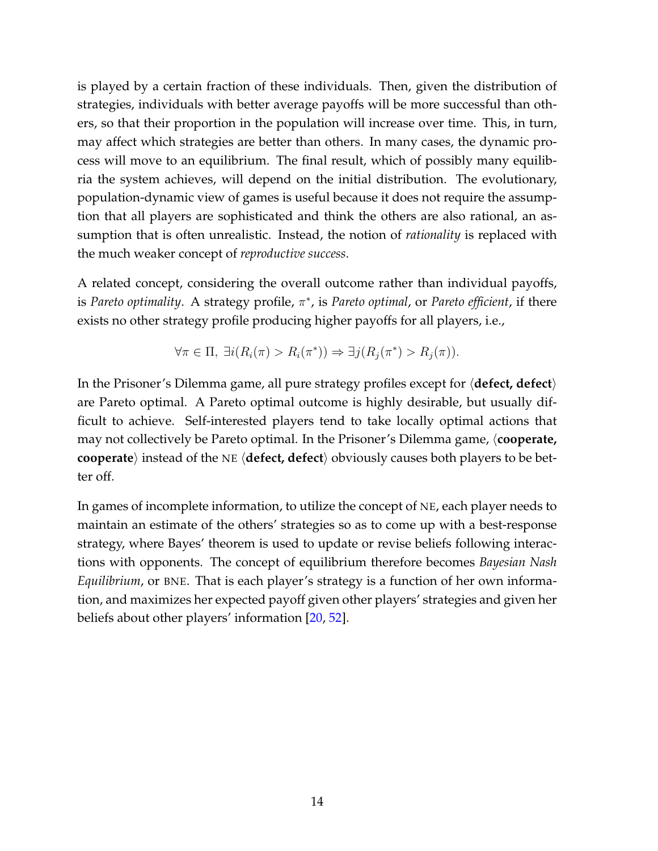is played by a certain fraction of these individuals. Then, given the distribution of strategies, individuals with better average payoffs will be more successful than others, so that their proportion in the population will increase over time. This, in turn, may affect which strategies are better than others. In many cases, the dynamic process will move to an equilibrium. The final result, which of possibly many equilibria the system achieves, will depend on the initial distribution. The evolutionary, population-dynamic view of games is useful because it does not require the assumption that all players are sophisticated and think the others are also rational, an assumption that is often unrealistic. Instead, the notion of *rationality* is replaced with the much weaker concept of *reproductive success*.

A related concept, considering the overall outcome rather than individual payoffs, lis *Pareto optimality*. A strategy profile, π<sup>\*</sup>, is *Pareto optimal*, or *Pareto efficient*, if there exists no other strategy profile producing higher payoffs for all players, i.e.,

$$
\forall \pi \in \Pi, \ \exists i (R_i(\pi) > R_i(\pi^*)) \Rightarrow \exists j (R_j(\pi^*) > R_j(\pi)).
$$

In the Prisoner's Dilemma game, all pure strategy profiles except for  $\langle$  defect, defect) are Pareto optimal. A Pareto optimal outcome is highly desirable, but usually difficult to achieve. Self-interested players tend to take locally optimal actions that may not collectively be Pareto optimal. In the Prisoner's Dilemma game,  $\langle$ **cooperate, cooperate**) instead of the NE (**defect, defect**) obviously causes both players to be better off.

In games of incomplete information, to utilize the concept of NE, each player needs to maintain an estimate of the others' strategies so as to come up with a best-response strategy, where Bayes' theorem is used to update or revise beliefs following interactions with opponents. The concept of equilibrium therefore becomes *Bayesian Nash Equilibrium*, or BNE. That is each player's strategy is a function of her own information, and maximizes her expected payoff given other players' strategies and given her beliefs about other players' information [\[20,](#page-47-4) [52\]](#page-50-2).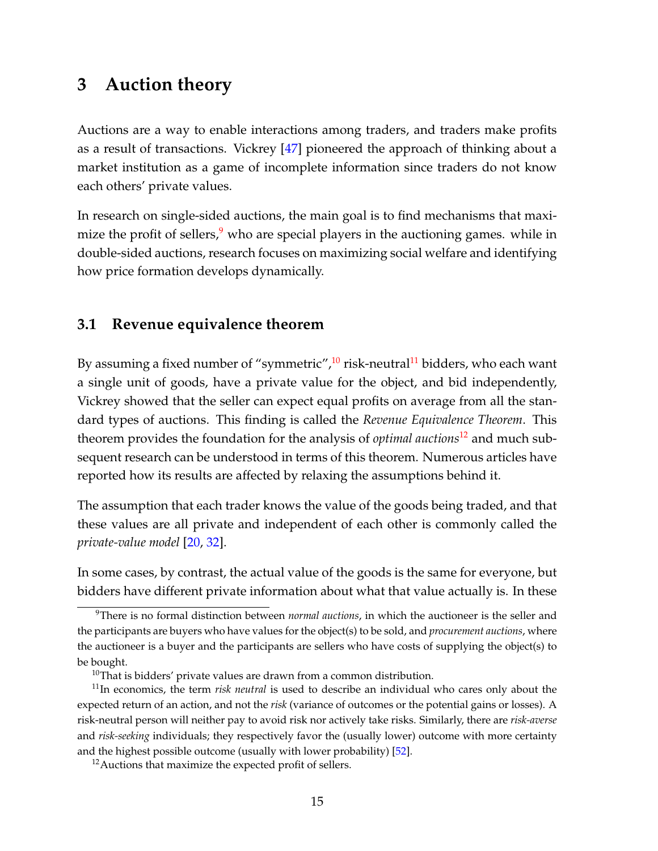### <span id="page-16-0"></span>**3 Auction theory**

Auctions are a way to enable interactions among traders, and traders make profits as a result of transactions. Vickrey [\[47\]](#page-50-0) pioneered the approach of thinking about a market institution as a game of incomplete information since traders do not know each others' private values.

In research on single-sided auctions, the main goal is to find mechanisms that maximize the profit of sellers, $9$  who are special players in the auctioning games. while in double-sided auctions, research focuses on maximizing social welfare and identifying how price formation develops dynamically.

#### <span id="page-16-1"></span>**3.1 Revenue equivalence theorem**

By assuming a fixed number of "symmetric", $\frac{10}{10}$  $\frac{10}{10}$  $\frac{10}{10}$  risk-neutral<sup>[11](#page-1-0)</sup> bidders, who each want a single unit of goods, have a private value for the object, and bid independently, Vickrey showed that the seller can expect equal profits on average from all the standard types of auctions. This finding is called the *Revenue Equivalence Theorem*. This theorem provides the foundation for the analysis of *optimal auctions*[12](#page-1-0) and much subsequent research can be understood in terms of this theorem. Numerous articles have reported how its results are affected by relaxing the assumptions behind it.

The assumption that each trader knows the value of the goods being traded, and that these values are all private and independent of each other is commonly called the *private-value model* [\[20,](#page-47-4) [32\]](#page-48-1).

In some cases, by contrast, the actual value of the goods is the same for everyone, but bidders have different private information about what that value actually is. In these

<sup>9</sup>There is no formal distinction between *normal auctions*, in which the auctioneer is the seller and the participants are buyers who have values for the object(s) to be sold, and *procurement auctions*, where the auctioneer is a buyer and the participants are sellers who have costs of supplying the object(s) to be bought.

 $10$ That is bidders' private values are drawn from a common distribution.

<sup>11</sup>In economics, the term *risk neutral* is used to describe an individual who cares only about the expected return of an action, and not the *risk* (variance of outcomes or the potential gains or losses). A risk-neutral person will neither pay to avoid risk nor actively take risks. Similarly, there are *risk-averse* and *risk-seeking* individuals; they respectively favor the (usually lower) outcome with more certainty and the highest possible outcome (usually with lower probability) [\[52\]](#page-50-2).

<sup>&</sup>lt;sup>12</sup> Auctions that maximize the expected profit of sellers.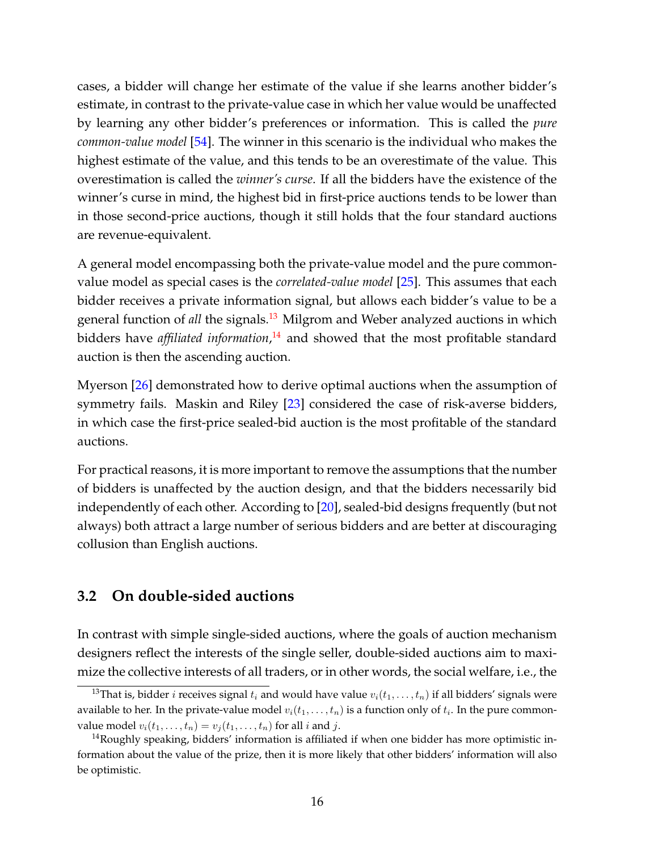cases, a bidder will change her estimate of the value if she learns another bidder's estimate, in contrast to the private-value case in which her value would be unaffected by learning any other bidder's preferences or information. This is called the *pure common-value model* [\[54\]](#page-50-3). The winner in this scenario is the individual who makes the highest estimate of the value, and this tends to be an overestimate of the value. This overestimation is called the *winner's curse*. If all the bidders have the existence of the winner's curse in mind, the highest bid in first-price auctions tends to be lower than in those second-price auctions, though it still holds that the four standard auctions are revenue-equivalent.

A general model encompassing both the private-value model and the pure commonvalue model as special cases is the *correlated-value model* [\[25\]](#page-48-2). This assumes that each bidder receives a private information signal, but allows each bidder's value to be a general function of *all* the signals.<sup>[13](#page-1-0)</sup> Milgrom and Weber analyzed auctions in which bidders have *affiliated information*, [14](#page-1-0) and showed that the most profitable standard auction is then the ascending auction.

Myerson [\[26\]](#page-48-3) demonstrated how to derive optimal auctions when the assumption of symmetry fails. Maskin and Riley [\[23\]](#page-48-4) considered the case of risk-averse bidders, in which case the first-price sealed-bid auction is the most profitable of the standard auctions.

For practical reasons, it is more important to remove the assumptions that the number of bidders is unaffected by the auction design, and that the bidders necessarily bid independently of each other. According to [\[20\]](#page-47-4), sealed-bid designs frequently (but not always) both attract a large number of serious bidders and are better at discouraging collusion than English auctions.

#### <span id="page-17-0"></span>**3.2 On double-sided auctions**

In contrast with simple single-sided auctions, where the goals of auction mechanism designers reflect the interests of the single seller, double-sided auctions aim to maximize the collective interests of all traders, or in other words, the social welfare, i.e., the

<sup>&</sup>lt;sup>13</sup>That is, bidder *i* receives signal  $t_i$  and would have value  $v_i(t_1, \ldots, t_n)$  if all bidders' signals were available to her. In the private-value model  $v_i(t_1,\ldots,t_n)$  is a function only of  $t_i.$  In the pure commonvalue model  $v_i(t_1, \ldots, t_n) = v_j(t_1, \ldots, t_n)$  for all *i* and *j*.

 $14$ Roughly speaking, bidders' information is affiliated if when one bidder has more optimistic information about the value of the prize, then it is more likely that other bidders' information will also be optimistic.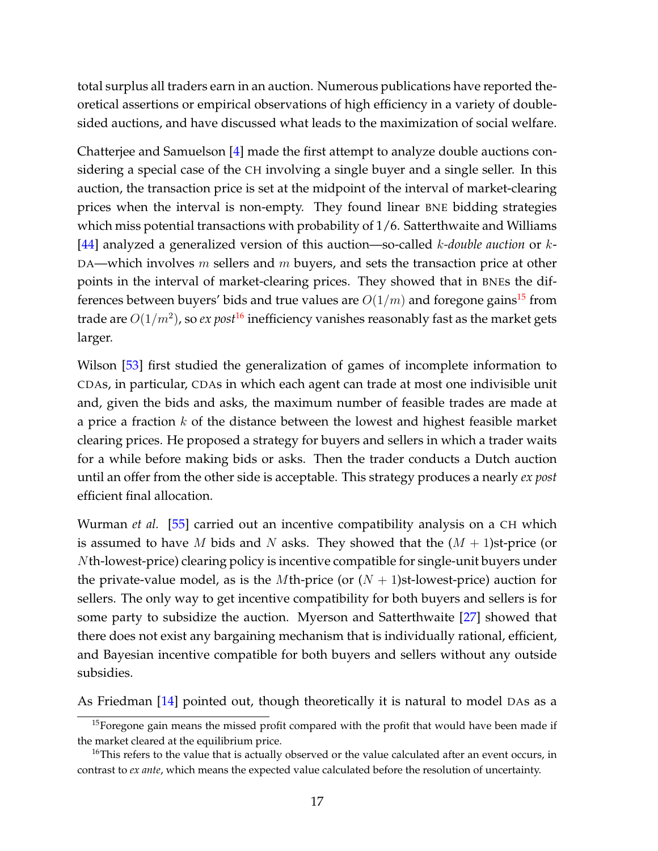total surplus all traders earn in an auction. Numerous publications have reported theoretical assertions or empirical observations of high efficiency in a variety of doublesided auctions, and have discussed what leads to the maximization of social welfare.

Chatterjee and Samuelson [\[4\]](#page-46-4) made the first attempt to analyze double auctions considering a special case of the CH involving a single buyer and a single seller. In this auction, the transaction price is set at the midpoint of the interval of market-clearing prices when the interval is non-empty. They found linear BNE bidding strategies which miss potential transactions with probability of 1/6. Satterthwaite and Williams [\[44\]](#page-49-0) analyzed a generalized version of this auction—so-called k*-double auction* or k-DA—which involves  $m$  sellers and  $m$  buyers, and sets the transaction price at other points in the interval of market-clearing prices. They showed that in BNEs the differences between buyers' bids and true values are  $O(1/m)$  and foregone gains<sup>[15](#page-1-0)</sup> from trade are  $O(1/m^2)$ , so  $ex$   $post^{16}$  $post^{16}$  $post^{16}$  inefficiency vanishes reasonably fast as the market gets larger.

Wilson [\[53\]](#page-50-4) first studied the generalization of games of incomplete information to CDAs, in particular, CDAs in which each agent can trade at most one indivisible unit and, given the bids and asks, the maximum number of feasible trades are made at a price a fraction  $k$  of the distance between the lowest and highest feasible market clearing prices. He proposed a strategy for buyers and sellers in which a trader waits for a while before making bids or asks. Then the trader conducts a Dutch auction until an offer from the other side is acceptable. This strategy produces a nearly *ex post* efficient final allocation.

Wurman *et al.* [\[55\]](#page-50-5) carried out an incentive compatibility analysis on a CH which is assumed to have M bids and N asks. They showed that the  $(M + 1)$ st-price (or Nth-lowest-price) clearing policy is incentive compatible for single-unit buyers under the private-value model, as is the *M*th-price (or  $(N + 1)$ st-lowest-price) auction for sellers. The only way to get incentive compatibility for both buyers and sellers is for some party to subsidize the auction. Myerson and Satterthwaite [\[27\]](#page-48-5) showed that there does not exist any bargaining mechanism that is individually rational, efficient, and Bayesian incentive compatible for both buyers and sellers without any outside subsidies.

As Friedman [\[14\]](#page-47-0) pointed out, though theoretically it is natural to model DAs as a

<sup>&</sup>lt;sup>15</sup>Foregone gain means the missed profit compared with the profit that would have been made if the market cleared at the equilibrium price.

<sup>&</sup>lt;sup>16</sup>This refers to the value that is actually observed or the value calculated after an event occurs, in contrast to *ex ante*, which means the expected value calculated before the resolution of uncertainty.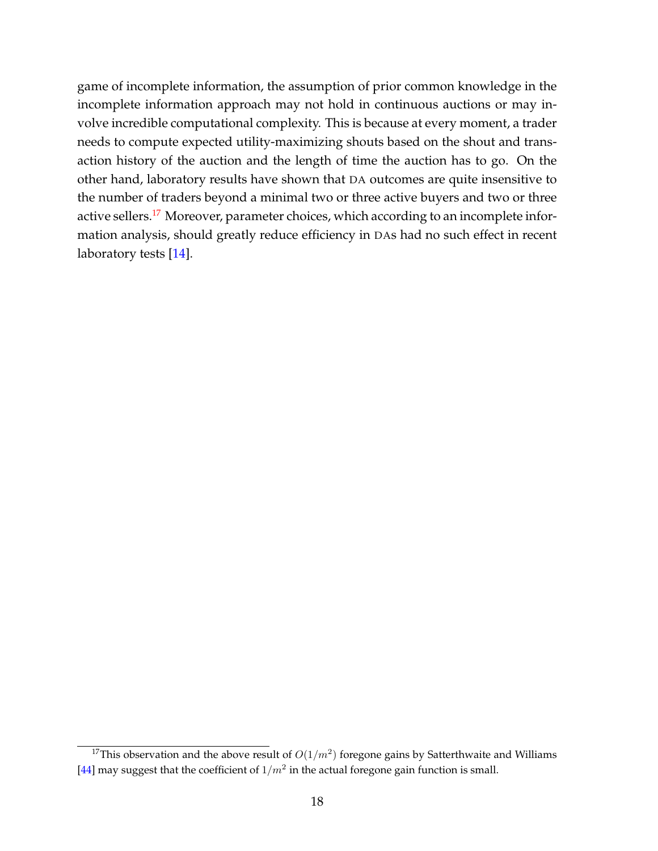game of incomplete information, the assumption of prior common knowledge in the incomplete information approach may not hold in continuous auctions or may involve incredible computational complexity. This is because at every moment, a trader needs to compute expected utility-maximizing shouts based on the shout and transaction history of the auction and the length of time the auction has to go. On the other hand, laboratory results have shown that DA outcomes are quite insensitive to the number of traders beyond a minimal two or three active buyers and two or three active sellers.<sup>[17](#page-1-0)</sup> Moreover, parameter choices, which according to an incomplete information analysis, should greatly reduce efficiency in DAs had no such effect in recent laboratory tests [\[14\]](#page-47-0).

<sup>&</sup>lt;sup>17</sup>This observation and the above result of  $O(1/m^2)$  foregone gains by Satterthwaite and Williams [\[44\]](#page-49-0) may suggest that the coefficient of  $1/m^2$  in the actual foregone gain function is small.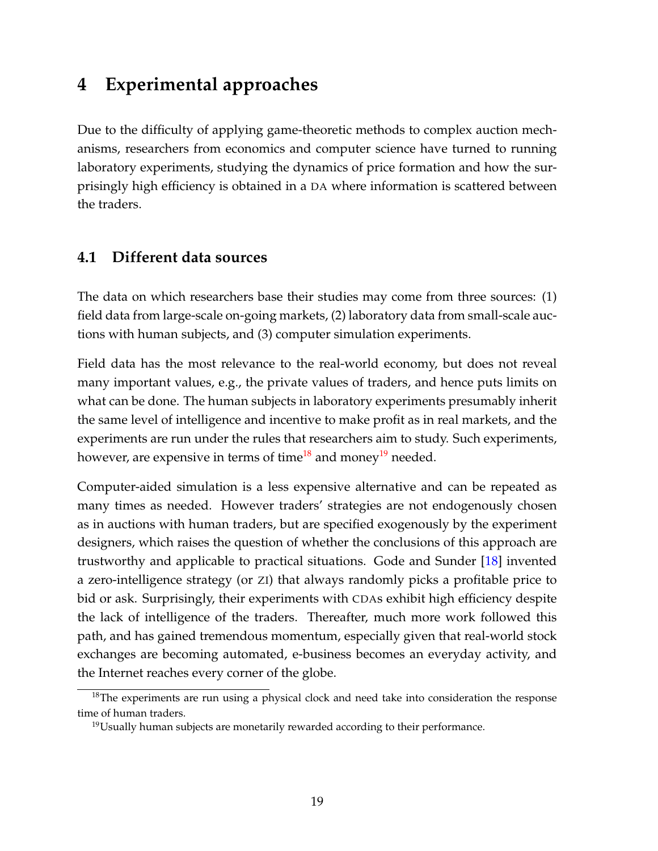## <span id="page-20-0"></span>**4 Experimental approaches**

Due to the difficulty of applying game-theoretic methods to complex auction mechanisms, researchers from economics and computer science have turned to running laboratory experiments, studying the dynamics of price formation and how the surprisingly high efficiency is obtained in a DA where information is scattered between the traders.

### <span id="page-20-1"></span>**4.1 Different data sources**

The data on which researchers base their studies may come from three sources: (1) field data from large-scale on-going markets, (2) laboratory data from small-scale auctions with human subjects, and (3) computer simulation experiments.

Field data has the most relevance to the real-world economy, but does not reveal many important values, e.g., the private values of traders, and hence puts limits on what can be done. The human subjects in laboratory experiments presumably inherit the same level of intelligence and incentive to make profit as in real markets, and the experiments are run under the rules that researchers aim to study. Such experiments, however, are expensive in terms of time<sup>[18](#page-1-0)</sup> and money<sup>[19](#page-1-0)</sup> needed.

Computer-aided simulation is a less expensive alternative and can be repeated as many times as needed. However traders' strategies are not endogenously chosen as in auctions with human traders, but are specified exogenously by the experiment designers, which raises the question of whether the conclusions of this approach are trustworthy and applicable to practical situations. Gode and Sunder [\[18\]](#page-47-5) invented a zero-intelligence strategy (or ZI) that always randomly picks a profitable price to bid or ask. Surprisingly, their experiments with CDAs exhibit high efficiency despite the lack of intelligence of the traders. Thereafter, much more work followed this path, and has gained tremendous momentum, especially given that real-world stock exchanges are becoming automated, e-business becomes an everyday activity, and the Internet reaches every corner of the globe.

 $18$ The experiments are run using a physical clock and need take into consideration the response time of human traders.

 $19$ Usually human subjects are monetarily rewarded according to their performance.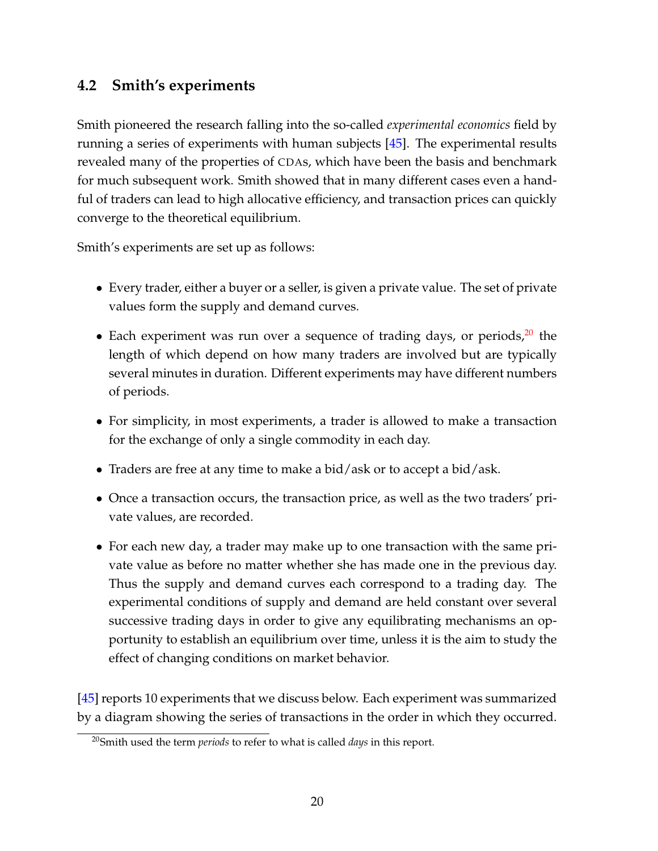### <span id="page-21-0"></span>**4.2 Smith's experiments**

Smith pioneered the research falling into the so-called *experimental economics* field by running a series of experiments with human subjects [\[45\]](#page-50-1). The experimental results revealed many of the properties of CDAs, which have been the basis and benchmark for much subsequent work. Smith showed that in many different cases even a handful of traders can lead to high allocative efficiency, and transaction prices can quickly converge to the theoretical equilibrium.

Smith's experiments are set up as follows:

- Every trader, either a buyer or a seller, is given a private value. The set of private values form the supply and demand curves.
- Each experiment was run over a sequence of trading days, or periods, $20$  the length of which depend on how many traders are involved but are typically several minutes in duration. Different experiments may have different numbers of periods.
- For simplicity, in most experiments, a trader is allowed to make a transaction for the exchange of only a single commodity in each day.
- Traders are free at any time to make a bid/ask or to accept a bid/ask.
- Once a transaction occurs, the transaction price, as well as the two traders' private values, are recorded.
- For each new day, a trader may make up to one transaction with the same private value as before no matter whether she has made one in the previous day. Thus the supply and demand curves each correspond to a trading day. The experimental conditions of supply and demand are held constant over several successive trading days in order to give any equilibrating mechanisms an opportunity to establish an equilibrium over time, unless it is the aim to study the effect of changing conditions on market behavior.

[\[45\]](#page-50-1) reports 10 experiments that we discuss below. Each experiment was summarized by a diagram showing the series of transactions in the order in which they occurred.

<sup>20</sup>Smith used the term *periods* to refer to what is called *days* in this report.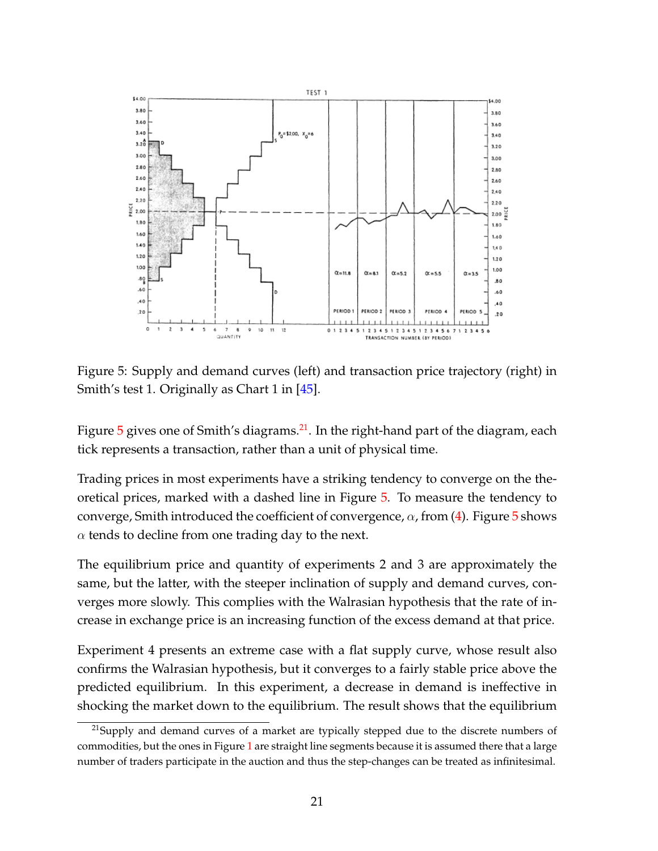

<span id="page-22-0"></span>Figure 5: Supply and demand curves (left) and transaction price trajectory (right) in Smith's test 1. Originally as Chart 1 in [\[45\]](#page-50-1).

Figure  $5$  gives one of Smith's diagrams.<sup>[21](#page-1-0)</sup>. In the right-hand part of the diagram, each tick represents a transaction, rather than a unit of physical time.

Trading prices in most experiments have a striking tendency to converge on the theoretical prices, marked with a dashed line in Figure [5.](#page-22-0) To measure the tendency to converge, Smith introduced the coefficient of convergence,  $\alpha$ , from [\(4\)](#page-10-1). Figure [5](#page-22-0) shows  $\alpha$  tends to decline from one trading day to the next.

The equilibrium price and quantity of experiments 2 and 3 are approximately the same, but the latter, with the steeper inclination of supply and demand curves, converges more slowly. This complies with the Walrasian hypothesis that the rate of increase in exchange price is an increasing function of the excess demand at that price.

Experiment 4 presents an extreme case with a flat supply curve, whose result also confirms the Walrasian hypothesis, but it converges to a fairly stable price above the predicted equilibrium. In this experiment, a decrease in demand is ineffective in shocking the market down to the equilibrium. The result shows that the equilibrium

 $^{21}$ Supply and demand curves of a market are typically stepped due to the discrete numbers of commodities, but the ones in Figure [1](#page-7-3) are straight line segments because it is assumed there that a large number of traders participate in the auction and thus the step-changes can be treated as infinitesimal.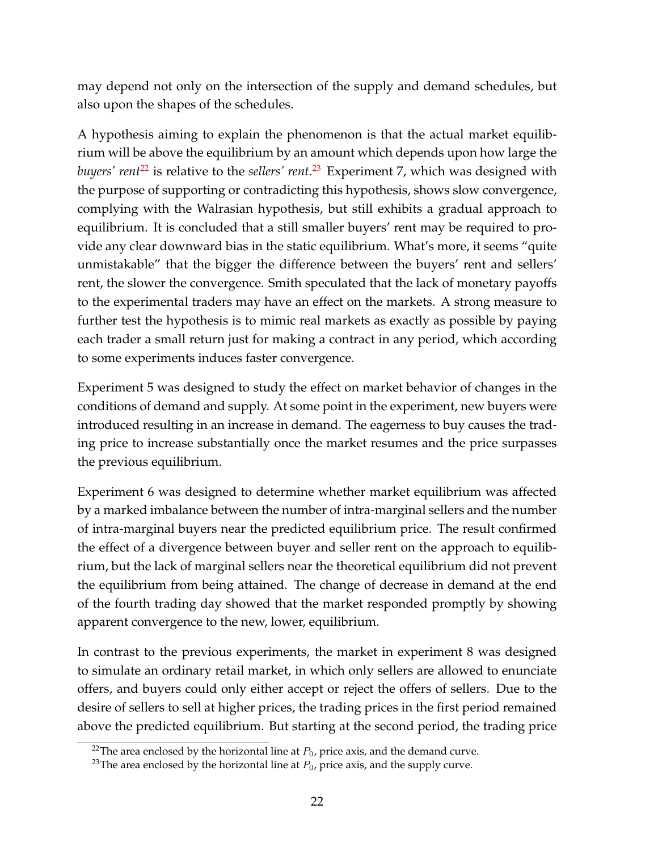may depend not only on the intersection of the supply and demand schedules, but also upon the shapes of the schedules.

A hypothesis aiming to explain the phenomenon is that the actual market equilibrium will be above the equilibrium by an amount which depends upon how large the *buyers' rent<sup>[22](#page-1-0)</sup>* is relative to the *sellers' rent.<sup>[23](#page-1-0)</sup>* Experiment 7, which was designed with the purpose of supporting or contradicting this hypothesis, shows slow convergence, complying with the Walrasian hypothesis, but still exhibits a gradual approach to equilibrium. It is concluded that a still smaller buyers' rent may be required to provide any clear downward bias in the static equilibrium. What's more, it seems "quite unmistakable" that the bigger the difference between the buyers' rent and sellers' rent, the slower the convergence. Smith speculated that the lack of monetary payoffs to the experimental traders may have an effect on the markets. A strong measure to further test the hypothesis is to mimic real markets as exactly as possible by paying each trader a small return just for making a contract in any period, which according to some experiments induces faster convergence.

Experiment 5 was designed to study the effect on market behavior of changes in the conditions of demand and supply. At some point in the experiment, new buyers were introduced resulting in an increase in demand. The eagerness to buy causes the trading price to increase substantially once the market resumes and the price surpasses the previous equilibrium.

Experiment 6 was designed to determine whether market equilibrium was affected by a marked imbalance between the number of intra-marginal sellers and the number of intra-marginal buyers near the predicted equilibrium price. The result confirmed the effect of a divergence between buyer and seller rent on the approach to equilibrium, but the lack of marginal sellers near the theoretical equilibrium did not prevent the equilibrium from being attained. The change of decrease in demand at the end of the fourth trading day showed that the market responded promptly by showing apparent convergence to the new, lower, equilibrium.

In contrast to the previous experiments, the market in experiment 8 was designed to simulate an ordinary retail market, in which only sellers are allowed to enunciate offers, and buyers could only either accept or reject the offers of sellers. Due to the desire of sellers to sell at higher prices, the trading prices in the first period remained above the predicted equilibrium. But starting at the second period, the trading price

<sup>&</sup>lt;sup>22</sup>The area enclosed by the horizontal line at  $P_0$ , price axis, and the demand curve.

<sup>&</sup>lt;sup>23</sup>The area enclosed by the horizontal line at  $P_0$ , price axis, and the supply curve.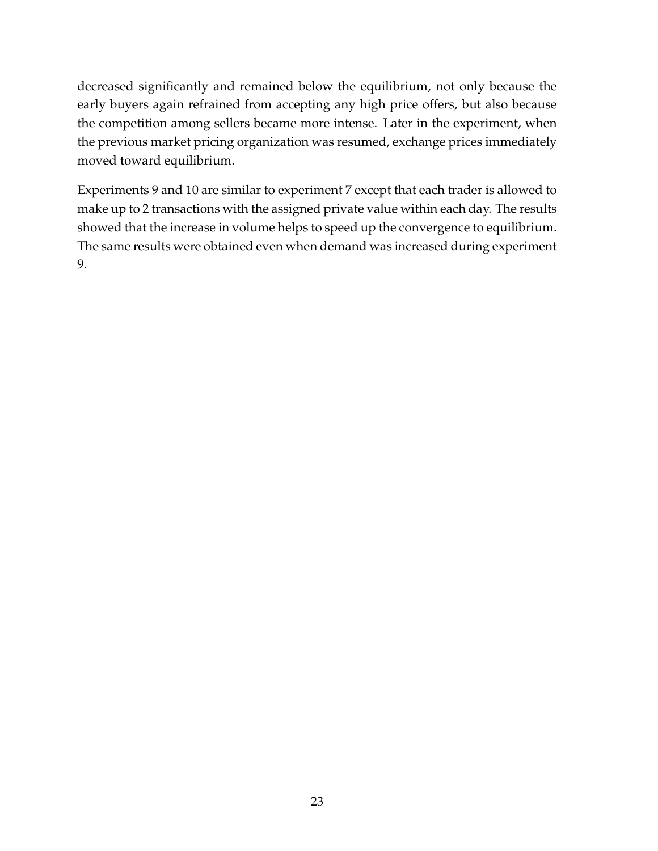decreased significantly and remained below the equilibrium, not only because the early buyers again refrained from accepting any high price offers, but also because the competition among sellers became more intense. Later in the experiment, when the previous market pricing organization was resumed, exchange prices immediately moved toward equilibrium.

Experiments 9 and 10 are similar to experiment 7 except that each trader is allowed to make up to 2 transactions with the assigned private value within each day. The results showed that the increase in volume helps to speed up the convergence to equilibrium. The same results were obtained even when demand was increased during experiment 9.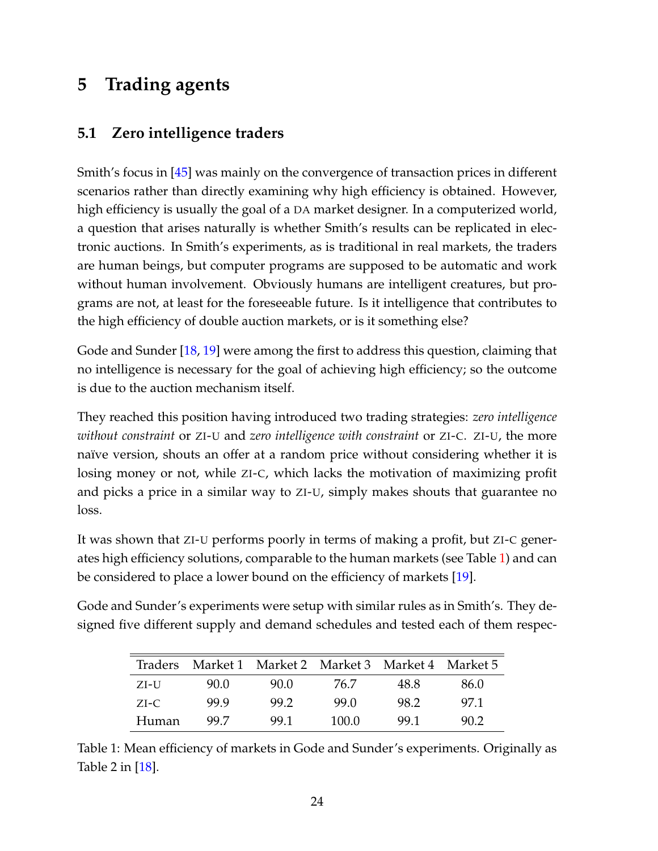## <span id="page-25-0"></span>**5 Trading agents**

### <span id="page-25-1"></span>**5.1 Zero intelligence traders**

Smith's focus in [\[45\]](#page-50-1) was mainly on the convergence of transaction prices in different scenarios rather than directly examining why high efficiency is obtained. However, high efficiency is usually the goal of a DA market designer. In a computerized world, a question that arises naturally is whether Smith's results can be replicated in electronic auctions. In Smith's experiments, as is traditional in real markets, the traders are human beings, but computer programs are supposed to be automatic and work without human involvement. Obviously humans are intelligent creatures, but programs are not, at least for the foreseeable future. Is it intelligence that contributes to the high efficiency of double auction markets, or is it something else?

Gode and Sunder [\[18,](#page-47-5) [19\]](#page-47-6) were among the first to address this question, claiming that no intelligence is necessary for the goal of achieving high efficiency; so the outcome is due to the auction mechanism itself.

They reached this position having introduced two trading strategies: *zero intelligence without constraint* or ZI-U and *zero intelligence with constraint* or ZI-C. ZI-U, the more naïve version, shouts an offer at a random price without considering whether it is losing money or not, while ZI-C, which lacks the motivation of maximizing profit and picks a price in a similar way to ZI-U, simply makes shouts that guarantee no loss.

It was shown that ZI-U performs poorly in terms of making a profit, but ZI-C generates high efficiency solutions, comparable to the human markets (see Table [1\)](#page-25-2) and can be considered to place a lower bound on the efficiency of markets [\[19\]](#page-47-6).

Gode and Sunder's experiments were setup with similar rules as in Smith's. They designed five different supply and demand schedules and tested each of them respec-

| <b>Traders</b> |      | Market 1 Market 2 Market 3 Market 4 Market 5 |       |      |      |
|----------------|------|----------------------------------------------|-------|------|------|
| ZI-U           | 90.0 | 90.0                                         | 76.7  | 48.8 | 86.0 |
| $ZI-C$         | 99.9 | 99.2                                         | 99.O  | 98.2 | 97.1 |
| Human          | 99 Z | 99.1                                         | 100.0 | 99.1 | 90.2 |

<span id="page-25-2"></span>Table 1: Mean efficiency of markets in Gode and Sunder's experiments. Originally as Table 2 in [\[18\]](#page-47-5).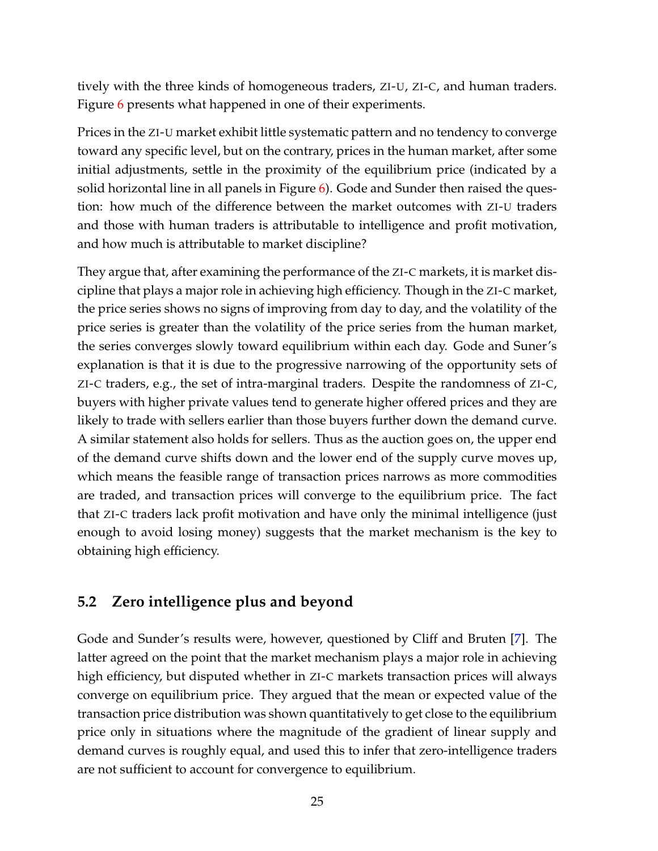tively with the three kinds of homogeneous traders, ZI-U, ZI-C, and human traders. Figure [6](#page-27-0) presents what happened in one of their experiments.

Prices in the ZI-U market exhibit little systematic pattern and no tendency to converge toward any specific level, but on the contrary, prices in the human market, after some initial adjustments, settle in the proximity of the equilibrium price (indicated by a solid horizontal line in all panels in Figure  $6$ ). Gode and Sunder then raised the question: how much of the difference between the market outcomes with ZI-U traders and those with human traders is attributable to intelligence and profit motivation, and how much is attributable to market discipline?

They argue that, after examining the performance of the ZI-C markets, it is market discipline that plays a major role in achieving high efficiency. Though in the ZI-C market, the price series shows no signs of improving from day to day, and the volatility of the price series is greater than the volatility of the price series from the human market, the series converges slowly toward equilibrium within each day. Gode and Suner's explanation is that it is due to the progressive narrowing of the opportunity sets of ZI-C traders, e.g., the set of intra-marginal traders. Despite the randomness of ZI-C, buyers with higher private values tend to generate higher offered prices and they are likely to trade with sellers earlier than those buyers further down the demand curve. A similar statement also holds for sellers. Thus as the auction goes on, the upper end of the demand curve shifts down and the lower end of the supply curve moves up, which means the feasible range of transaction prices narrows as more commodities are traded, and transaction prices will converge to the equilibrium price. The fact that ZI-C traders lack profit motivation and have only the minimal intelligence (just enough to avoid losing money) suggests that the market mechanism is the key to obtaining high efficiency.

#### <span id="page-26-0"></span>**5.2 Zero intelligence plus and beyond**

Gode and Sunder's results were, however, questioned by Cliff and Bruten [\[7\]](#page-46-0). The latter agreed on the point that the market mechanism plays a major role in achieving high efficiency, but disputed whether in ZI-C markets transaction prices will always converge on equilibrium price. They argued that the mean or expected value of the transaction price distribution was shown quantitatively to get close to the equilibrium price only in situations where the magnitude of the gradient of linear supply and demand curves is roughly equal, and used this to infer that zero-intelligence traders are not sufficient to account for convergence to equilibrium.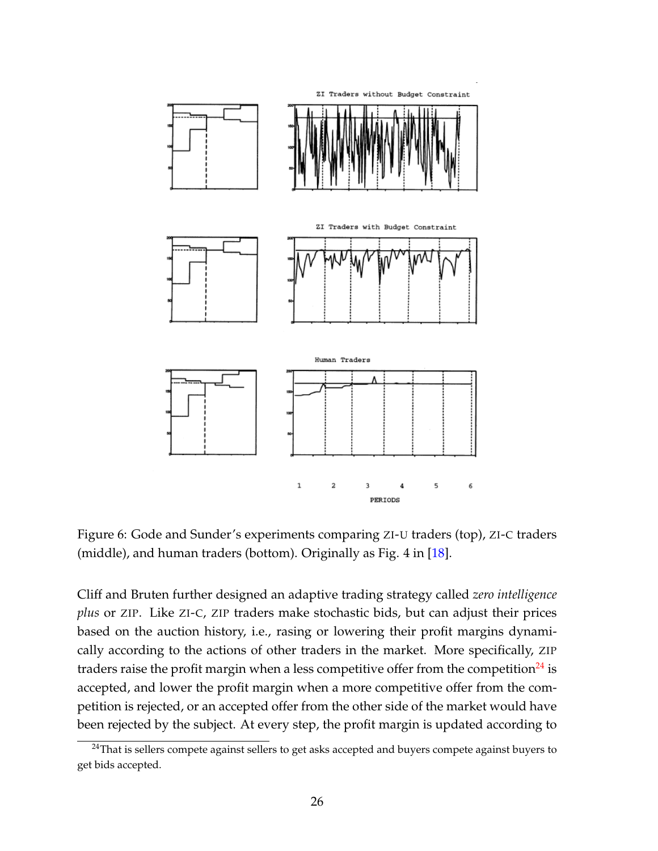

<span id="page-27-0"></span>Figure 6: Gode and Sunder's experiments comparing ZI-U traders (top), ZI-C traders (middle), and human traders (bottom). Originally as Fig. 4 in [\[18\]](#page-47-5).

Cliff and Bruten further designed an adaptive trading strategy called *zero intelligence plus* or ZIP. Like ZI-C, ZIP traders make stochastic bids, but can adjust their prices based on the auction history, i.e., rasing or lowering their profit margins dynamically according to the actions of other traders in the market. More specifically, ZIP traders raise the profit margin when a less competitive offer from the competition $^{24}$  $^{24}$  $^{24}$  is accepted, and lower the profit margin when a more competitive offer from the competition is rejected, or an accepted offer from the other side of the market would have been rejected by the subject. At every step, the profit margin is updated according to

<sup>&</sup>lt;sup>24</sup>That is sellers compete against sellers to get asks accepted and buyers compete against buyers to get bids accepted.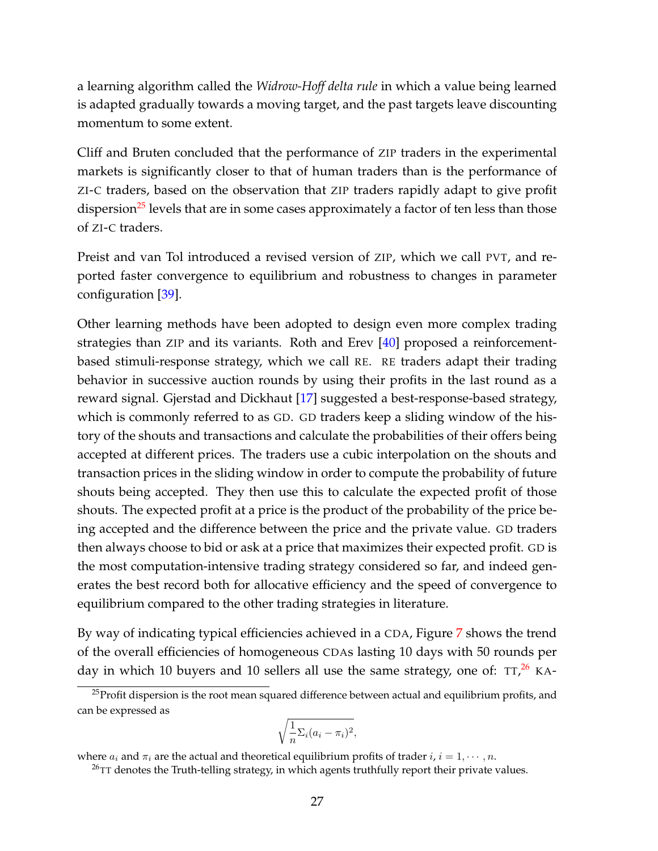a learning algorithm called the *Widrow-Hoff delta rule* in which a value being learned is adapted gradually towards a moving target, and the past targets leave discounting momentum to some extent.

Cliff and Bruten concluded that the performance of ZIP traders in the experimental markets is significantly closer to that of human traders than is the performance of ZI-C traders, based on the observation that ZIP traders rapidly adapt to give profit dispersion<sup>[25](#page-1-0)</sup> levels that are in some cases approximately a factor of ten less than those of ZI-C traders.

Preist and van Tol introduced a revised version of ZIP, which we call PVT, and reported faster convergence to equilibrium and robustness to changes in parameter configuration [\[39\]](#page-49-1).

Other learning methods have been adopted to design even more complex trading strategies than ZIP and its variants. Roth and Erev [\[40\]](#page-49-2) proposed a reinforcementbased stimuli-response strategy, which we call RE. RE traders adapt their trading behavior in successive auction rounds by using their profits in the last round as a reward signal. Gjerstad and Dickhaut [\[17\]](#page-47-7) suggested a best-response-based strategy, which is commonly referred to as GD. GD traders keep a sliding window of the history of the shouts and transactions and calculate the probabilities of their offers being accepted at different prices. The traders use a cubic interpolation on the shouts and transaction prices in the sliding window in order to compute the probability of future shouts being accepted. They then use this to calculate the expected profit of those shouts. The expected profit at a price is the product of the probability of the price being accepted and the difference between the price and the private value. GD traders then always choose to bid or ask at a price that maximizes their expected profit. GD is the most computation-intensive trading strategy considered so far, and indeed generates the best record both for allocative efficiency and the speed of convergence to equilibrium compared to the other trading strategies in literature.

By way of indicating typical efficiencies achieved in a CDA, Figure [7](#page-29-0) shows the trend of the overall efficiencies of homogeneous CDAs lasting 10 days with 50 rounds per day in which 10 buyers and 10 sellers all use the same strategy, one of: TT,<sup>[26](#page-1-0)</sup> KA-

$$
\sqrt{\frac{1}{n}\Sigma_i(a_i-\pi_i)^2},
$$

 $25$ Profit dispersion is the root mean squared difference between actual and equilibrium profits, and can be expressed as

where  $a_i$  and  $\pi_i$  are the actual and theoretical equilibrium profits of trader  $i, i = 1, \cdots, n$ .

 $^{26}$ TT denotes the Truth-telling strategy, in which agents truthfully report their private values.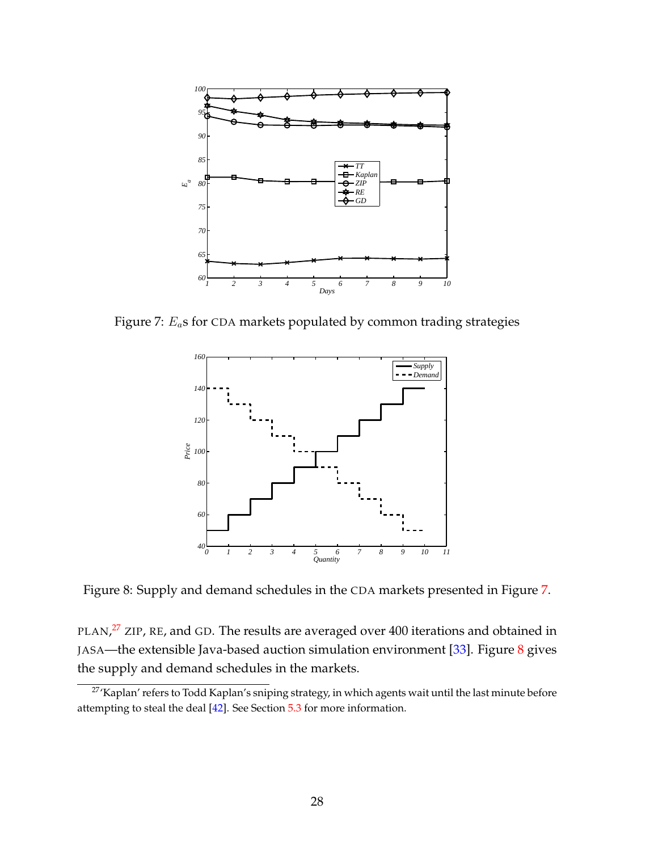

Figure 7:  $E_a$ s for CDA markets populated by common trading strategies

<span id="page-29-0"></span>

<span id="page-29-1"></span>Figure 8: Supply and demand schedules in the CDA markets presented in Figure [7.](#page-29-0)

PLAN,<sup>[27](#page-1-0)</sup> ZIP, RE, and GD. The results are averaged over 400 iterations and obtained in JASA—the extensible Java-based auction simulation environment [\[33\]](#page-48-6). Figure [8](#page-29-1) gives the supply and demand schedules in the markets.

<sup>&</sup>lt;sup>27</sup>'Kaplan' refers to Todd Kaplan's sniping strategy, in which agents wait until the last minute before attempting to steal the deal [\[42\]](#page-49-3). See Section [5.3](#page-30-0) for more information.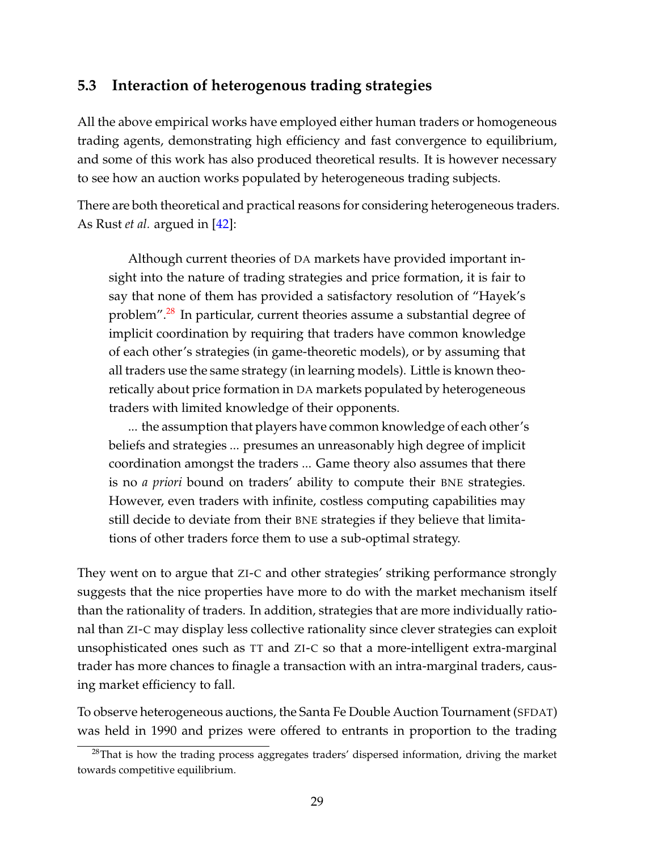### <span id="page-30-0"></span>**5.3 Interaction of heterogenous trading strategies**

All the above empirical works have employed either human traders or homogeneous trading agents, demonstrating high efficiency and fast convergence to equilibrium, and some of this work has also produced theoretical results. It is however necessary to see how an auction works populated by heterogeneous trading subjects.

There are both theoretical and practical reasons for considering heterogeneous traders. As Rust *et al.* argued in [\[42\]](#page-49-3):

Although current theories of DA markets have provided important insight into the nature of trading strategies and price formation, it is fair to say that none of them has provided a satisfactory resolution of "Hayek's problem".<sup>[28](#page-1-0)</sup> In particular, current theories assume a substantial degree of implicit coordination by requiring that traders have common knowledge of each other's strategies (in game-theoretic models), or by assuming that all traders use the same strategy (in learning models). Little is known theoretically about price formation in DA markets populated by heterogeneous traders with limited knowledge of their opponents.

... the assumption that players have common knowledge of each other's beliefs and strategies ... presumes an unreasonably high degree of implicit coordination amongst the traders ... Game theory also assumes that there is no *a priori* bound on traders' ability to compute their BNE strategies. However, even traders with infinite, costless computing capabilities may still decide to deviate from their BNE strategies if they believe that limitations of other traders force them to use a sub-optimal strategy.

They went on to argue that ZI-C and other strategies' striking performance strongly suggests that the nice properties have more to do with the market mechanism itself than the rationality of traders. In addition, strategies that are more individually rational than ZI-C may display less collective rationality since clever strategies can exploit unsophisticated ones such as TT and ZI-C so that a more-intelligent extra-marginal trader has more chances to finagle a transaction with an intra-marginal traders, causing market efficiency to fall.

To observe heterogeneous auctions, the Santa Fe Double Auction Tournament (SFDAT) was held in 1990 and prizes were offered to entrants in proportion to the trading

 $28$ That is how the trading process aggregates traders' dispersed information, driving the market towards competitive equilibrium.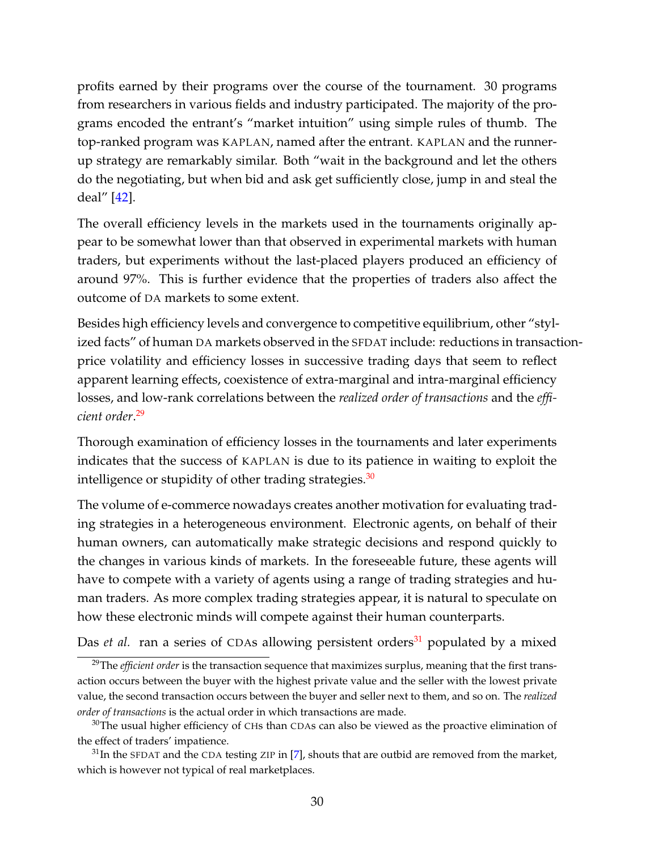profits earned by their programs over the course of the tournament. 30 programs from researchers in various fields and industry participated. The majority of the programs encoded the entrant's "market intuition" using simple rules of thumb. The top-ranked program was KAPLAN, named after the entrant. KAPLAN and the runnerup strategy are remarkably similar. Both "wait in the background and let the others do the negotiating, but when bid and ask get sufficiently close, jump in and steal the deal" [\[42\]](#page-49-3).

The overall efficiency levels in the markets used in the tournaments originally appear to be somewhat lower than that observed in experimental markets with human traders, but experiments without the last-placed players produced an efficiency of around 97%. This is further evidence that the properties of traders also affect the outcome of DA markets to some extent.

Besides high efficiency levels and convergence to competitive equilibrium, other "stylized facts" of human DA markets observed in the SFDAT include: reductions in transactionprice volatility and efficiency losses in successive trading days that seem to reflect apparent learning effects, coexistence of extra-marginal and intra-marginal efficiency losses, and low-rank correlations between the *realized order of transactions* and the *efficient order*. [29](#page-1-0)

Thorough examination of efficiency losses in the tournaments and later experiments indicates that the success of KAPLAN is due to its patience in waiting to exploit the intelligence or stupidity of other trading strategies. $30$ 

The volume of e-commerce nowadays creates another motivation for evaluating trading strategies in a heterogeneous environment. Electronic agents, on behalf of their human owners, can automatically make strategic decisions and respond quickly to the changes in various kinds of markets. In the foreseeable future, these agents will have to compete with a variety of agents using a range of trading strategies and human traders. As more complex trading strategies appear, it is natural to speculate on how these electronic minds will compete against their human counterparts.

Das *et al.* ran a series of CDAs allowing persistent orders<sup>[31](#page-1-0)</sup> populated by a mixed

<sup>&</sup>lt;sup>29</sup>The *efficient order* is the transaction sequence that maximizes surplus, meaning that the first transaction occurs between the buyer with the highest private value and the seller with the lowest private value, the second transaction occurs between the buyer and seller next to them, and so on. The *realized order of transactions* is the actual order in which transactions are made.

<sup>&</sup>lt;sup>30</sup>The usual higher efficiency of CHs than CDAs can also be viewed as the proactive elimination of the effect of traders' impatience.

 $31$ In the SFDAT and the CDA testing ZIP in [\[7\]](#page-46-0), shouts that are outbid are removed from the market, which is however not typical of real marketplaces.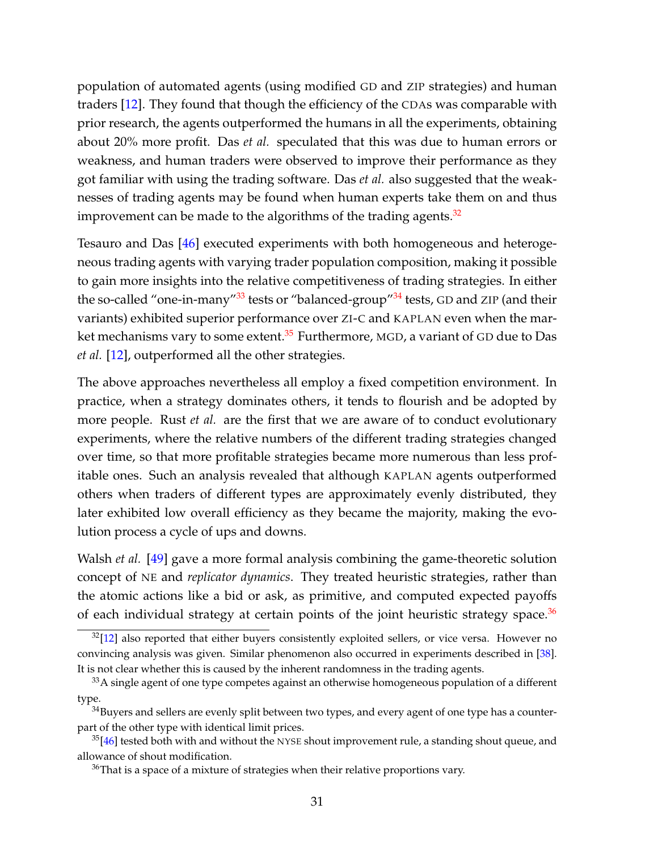population of automated agents (using modified GD and ZIP strategies) and human traders [\[12\]](#page-47-8). They found that though the efficiency of the CDAs was comparable with prior research, the agents outperformed the humans in all the experiments, obtaining about 20% more profit. Das *et al.* speculated that this was due to human errors or weakness, and human traders were observed to improve their performance as they got familiar with using the trading software. Das *et al.* also suggested that the weaknesses of trading agents may be found when human experts take them on and thus improvement can be made to the algorithms of the trading agents. $32$ 

Tesauro and Das [\[46\]](#page-50-6) executed experiments with both homogeneous and heterogeneous trading agents with varying trader population composition, making it possible to gain more insights into the relative competitiveness of trading strategies. In either the so-called "one-in-many" $33$  tests or "balanced-group" $34$  tests, GD and ZIP (and their variants) exhibited superior performance over ZI-C and KAPLAN even when the mar-ket mechanisms vary to some extent.<sup>[35](#page-1-0)</sup> Furthermore, MGD, a variant of GD due to Das *et al.* [\[12\]](#page-47-8), outperformed all the other strategies.

The above approaches nevertheless all employ a fixed competition environment. In practice, when a strategy dominates others, it tends to flourish and be adopted by more people. Rust *et al.* are the first that we are aware of to conduct evolutionary experiments, where the relative numbers of the different trading strategies changed over time, so that more profitable strategies became more numerous than less profitable ones. Such an analysis revealed that although KAPLAN agents outperformed others when traders of different types are approximately evenly distributed, they later exhibited low overall efficiency as they became the majority, making the evolution process a cycle of ups and downs.

Walsh *et al.* [\[49\]](#page-50-7) gave a more formal analysis combining the game-theoretic solution concept of NE and *replicator dynamics*. They treated heuristic strategies, rather than the atomic actions like a bid or ask, as primitive, and computed expected payoffs of each individual strategy at certain points of the joint heuristic strategy space. $36$ 

 $32$ [\[12\]](#page-47-8) also reported that either buyers consistently exploited sellers, or vice versa. However no convincing analysis was given. Similar phenomenon also occurred in experiments described in [\[38\]](#page-49-4). It is not clear whether this is caused by the inherent randomness in the trading agents.

<sup>&</sup>lt;sup>33</sup>A single agent of one type competes against an otherwise homogeneous population of a different type.

 $34$ Buyers and sellers are evenly split between two types, and every agent of one type has a counterpart of the other type with identical limit prices.

 $35[46]$  $35[46]$  tested both with and without the NYSE shout improvement rule, a standing shout queue, and allowance of shout modification.

 $36$ That is a space of a mixture of strategies when their relative proportions vary.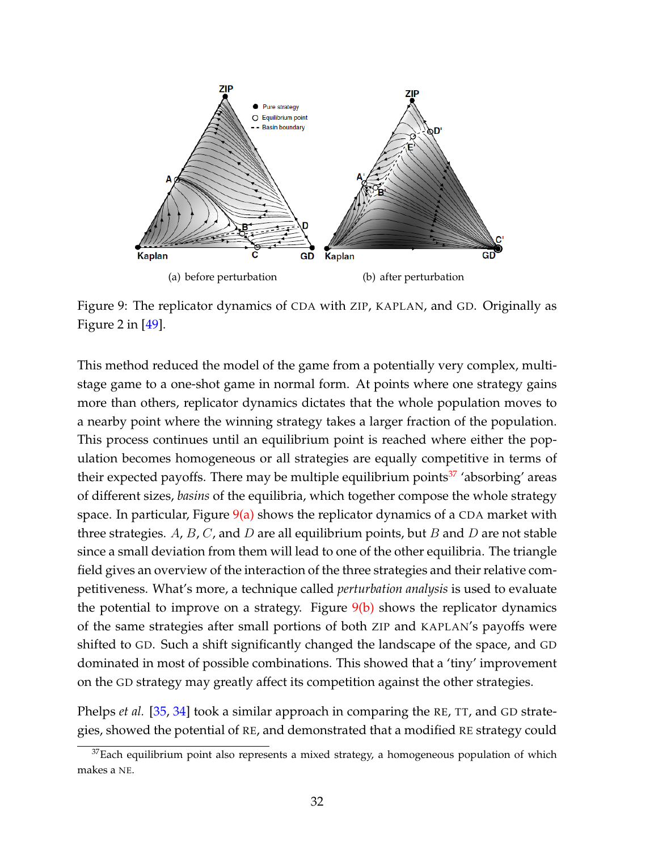

<span id="page-33-1"></span><span id="page-33-0"></span>Figure 9: The replicator dynamics of CDA with ZIP, KAPLAN, and GD. Originally as Figure 2 in  $[49]$ .

This method reduced the model of the game from a potentially very complex, multistage game to a one-shot game in normal form. At points where one strategy gains more than others, replicator dynamics dictates that the whole population moves to a nearby point where the winning strategy takes a larger fraction of the population. This process continues until an equilibrium point is reached where either the population becomes homogeneous or all strategies are equally competitive in terms of their expected payoffs. There may be multiple equilibrium points<sup>[37](#page-1-0)</sup> 'absorbing' areas of different sizes, *basins* of the equilibria, which together compose the whole strategy space. In particular, Figure  $9(a)$  shows the replicator dynamics of a CDA market with three strategies. A, B, C, and D are all equilibrium points, but B and D are not stable since a small deviation from them will lead to one of the other equilibria. The triangle field gives an overview of the interaction of the three strategies and their relative competitiveness. What's more, a technique called *perturbation analysis* is used to evaluate the potential to improve on a strategy. Figure  $9(b)$  shows the replicator dynamics of the same strategies after small portions of both ZIP and KAPLAN's payoffs were shifted to GD. Such a shift significantly changed the landscape of the space, and GD dominated in most of possible combinations. This showed that a 'tiny' improvement on the GD strategy may greatly affect its competition against the other strategies.

Phelps *et al.* [\[35,](#page-49-5) [34\]](#page-48-7) took a similar approach in comparing the RE, TT, and GD strategies, showed the potential of RE, and demonstrated that a modified RE strategy could

 $37$ Each equilibrium point also represents a mixed strategy, a homogeneous population of which makes a NE.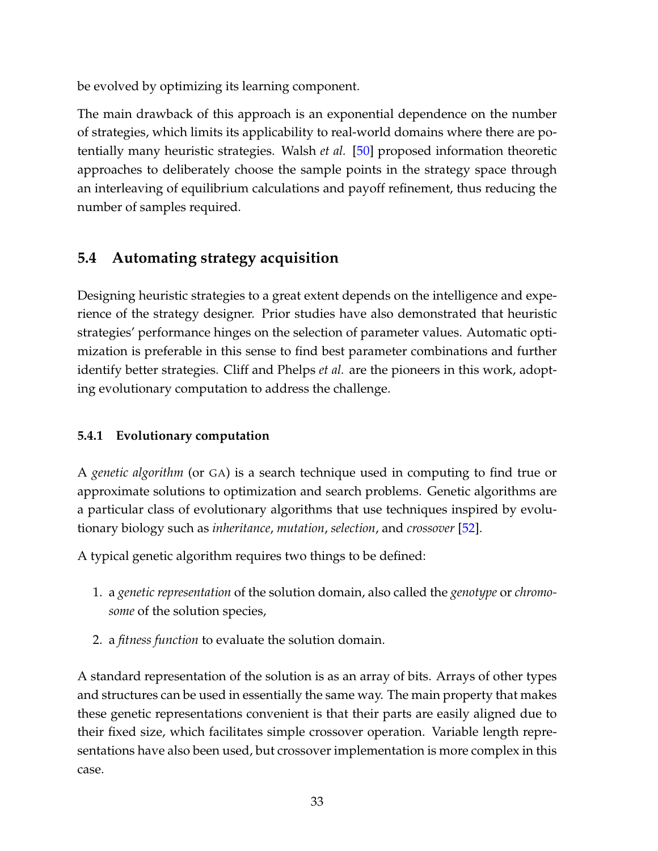be evolved by optimizing its learning component.

The main drawback of this approach is an exponential dependence on the number of strategies, which limits its applicability to real-world domains where there are potentially many heuristic strategies. Walsh *et al.* [\[50\]](#page-50-8) proposed information theoretic approaches to deliberately choose the sample points in the strategy space through an interleaving of equilibrium calculations and payoff refinement, thus reducing the number of samples required.

### <span id="page-34-0"></span>**5.4 Automating strategy acquisition**

Designing heuristic strategies to a great extent depends on the intelligence and experience of the strategy designer. Prior studies have also demonstrated that heuristic strategies' performance hinges on the selection of parameter values. Automatic optimization is preferable in this sense to find best parameter combinations and further identify better strategies. Cliff and Phelps *et al.* are the pioneers in this work, adopting evolutionary computation to address the challenge.

### <span id="page-34-1"></span>**5.4.1 Evolutionary computation**

A *genetic algorithm* (or GA) is a search technique used in computing to find true or approximate solutions to optimization and search problems. Genetic algorithms are a particular class of evolutionary algorithms that use techniques inspired by evolutionary biology such as *inheritance*, *mutation*, *selection*, and *crossover* [\[52\]](#page-50-2).

A typical genetic algorithm requires two things to be defined:

- 1. a *genetic representation* of the solution domain, also called the *genotype* or *chromosome* of the solution species,
- 2. a *fitness function* to evaluate the solution domain.

A standard representation of the solution is as an array of bits. Arrays of other types and structures can be used in essentially the same way. The main property that makes these genetic representations convenient is that their parts are easily aligned due to their fixed size, which facilitates simple crossover operation. Variable length representations have also been used, but crossover implementation is more complex in this case.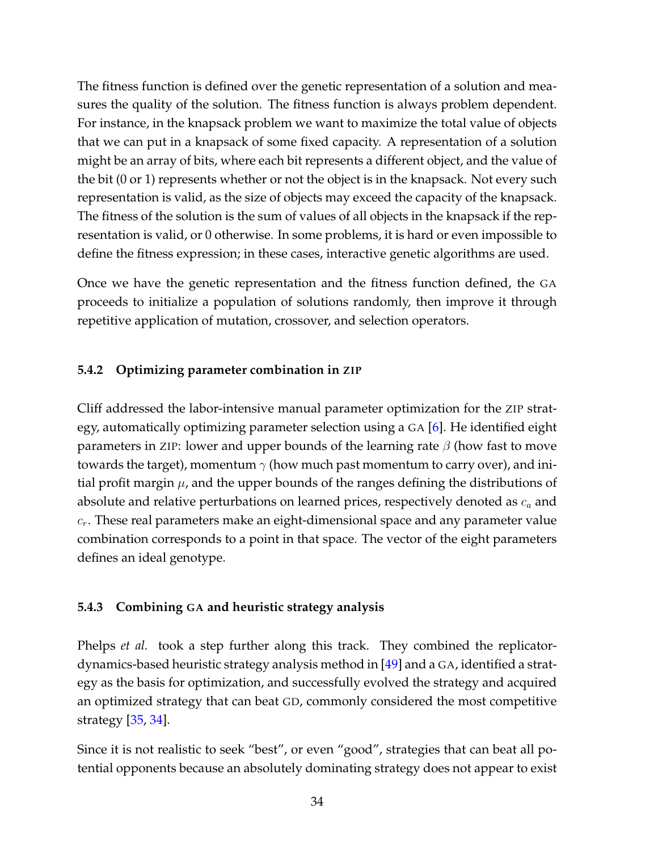The fitness function is defined over the genetic representation of a solution and measures the quality of the solution. The fitness function is always problem dependent. For instance, in the knapsack problem we want to maximize the total value of objects that we can put in a knapsack of some fixed capacity. A representation of a solution might be an array of bits, where each bit represents a different object, and the value of the bit (0 or 1) represents whether or not the object is in the knapsack. Not every such representation is valid, as the size of objects may exceed the capacity of the knapsack. The fitness of the solution is the sum of values of all objects in the knapsack if the representation is valid, or 0 otherwise. In some problems, it is hard or even impossible to define the fitness expression; in these cases, interactive genetic algorithms are used.

Once we have the genetic representation and the fitness function defined, the GA proceeds to initialize a population of solutions randomly, then improve it through repetitive application of mutation, crossover, and selection operators.

#### <span id="page-35-0"></span>**5.4.2 Optimizing parameter combination in ZIP**

Cliff addressed the labor-intensive manual parameter optimization for the ZIP strategy, automatically optimizing parameter selection using a GA [\[6\]](#page-46-5). He identified eight parameters in ZIP: lower and upper bounds of the learning rate  $\beta$  (how fast to move towards the target), momentum  $\gamma$  (how much past momentum to carry over), and initial profit margin  $\mu$ , and the upper bounds of the ranges defining the distributions of absolute and relative perturbations on learned prices, respectively denoted as  $c_a$  and  $c_r$ . These real parameters make an eight-dimensional space and any parameter value combination corresponds to a point in that space. The vector of the eight parameters defines an ideal genotype.

#### <span id="page-35-1"></span>**5.4.3 Combining GA and heuristic strategy analysis**

Phelps *et al.* took a step further along this track. They combined the replicatordynamics-based heuristic strategy analysis method in [\[49\]](#page-50-7) and a GA, identified a strategy as the basis for optimization, and successfully evolved the strategy and acquired an optimized strategy that can beat GD, commonly considered the most competitive strategy [\[35,](#page-49-5) [34\]](#page-48-7).

Since it is not realistic to seek "best", or even "good", strategies that can beat all potential opponents because an absolutely dominating strategy does not appear to exist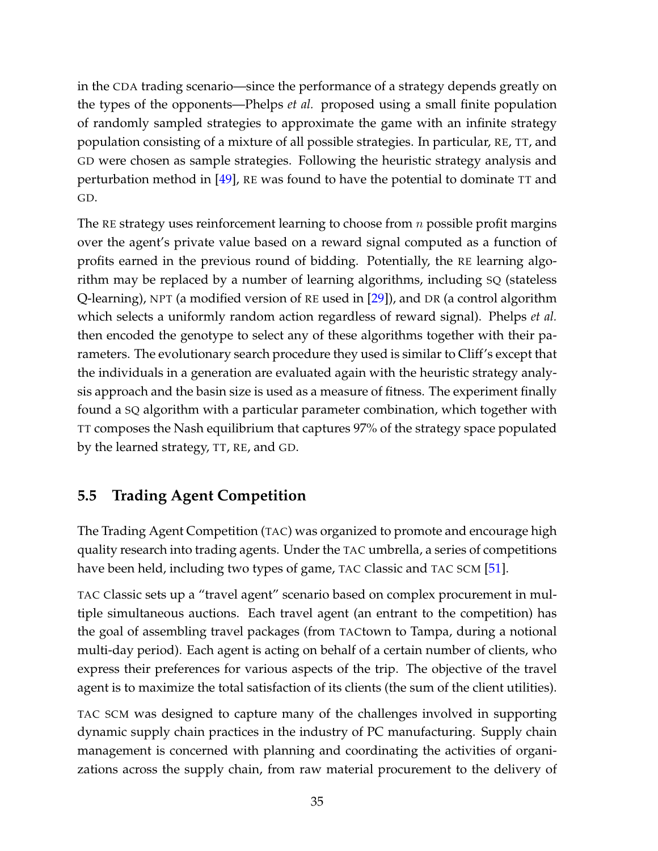in the CDA trading scenario—since the performance of a strategy depends greatly on the types of the opponents—Phelps *et al.* proposed using a small finite population of randomly sampled strategies to approximate the game with an infinite strategy population consisting of a mixture of all possible strategies. In particular, RE, TT, and GD were chosen as sample strategies. Following the heuristic strategy analysis and perturbation method in [\[49\]](#page-50-7), RE was found to have the potential to dominate TT and GD.

The RE strategy uses reinforcement learning to choose from  $n$  possible profit margins over the agent's private value based on a reward signal computed as a function of profits earned in the previous round of bidding. Potentially, the RE learning algorithm may be replaced by a number of learning algorithms, including SQ (stateless Q-learning), NPT (a modified version of RE used in [\[29\]](#page-48-8)), and DR (a control algorithm which selects a uniformly random action regardless of reward signal). Phelps *et al.* then encoded the genotype to select any of these algorithms together with their parameters. The evolutionary search procedure they used is similar to Cliff's except that the individuals in a generation are evaluated again with the heuristic strategy analysis approach and the basin size is used as a measure of fitness. The experiment finally found a SQ algorithm with a particular parameter combination, which together with TT composes the Nash equilibrium that captures 97% of the strategy space populated by the learned strategy, TT, RE, and GD.

### <span id="page-36-0"></span>**5.5 Trading Agent Competition**

The Trading Agent Competition (TAC) was organized to promote and encourage high quality research into trading agents. Under the TAC umbrella, a series of competitions have been held, including two types of game, TAC Classic and TAC SCM [\[51\]](#page-50-9).

TAC Classic sets up a "travel agent" scenario based on complex procurement in multiple simultaneous auctions. Each travel agent (an entrant to the competition) has the goal of assembling travel packages (from TACtown to Tampa, during a notional multi-day period). Each agent is acting on behalf of a certain number of clients, who express their preferences for various aspects of the trip. The objective of the travel agent is to maximize the total satisfaction of its clients (the sum of the client utilities).

TAC SCM was designed to capture many of the challenges involved in supporting dynamic supply chain practices in the industry of PC manufacturing. Supply chain management is concerned with planning and coordinating the activities of organizations across the supply chain, from raw material procurement to the delivery of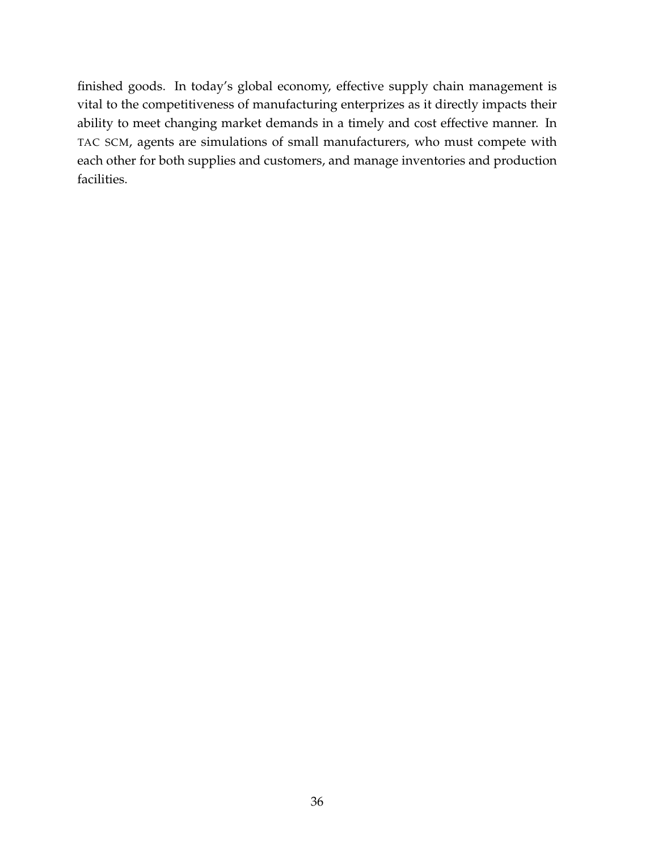finished goods. In today's global economy, effective supply chain management is vital to the competitiveness of manufacturing enterprizes as it directly impacts their ability to meet changing market demands in a timely and cost effective manner. In TAC SCM, agents are simulations of small manufacturers, who must compete with each other for both supplies and customers, and manage inventories and production facilities.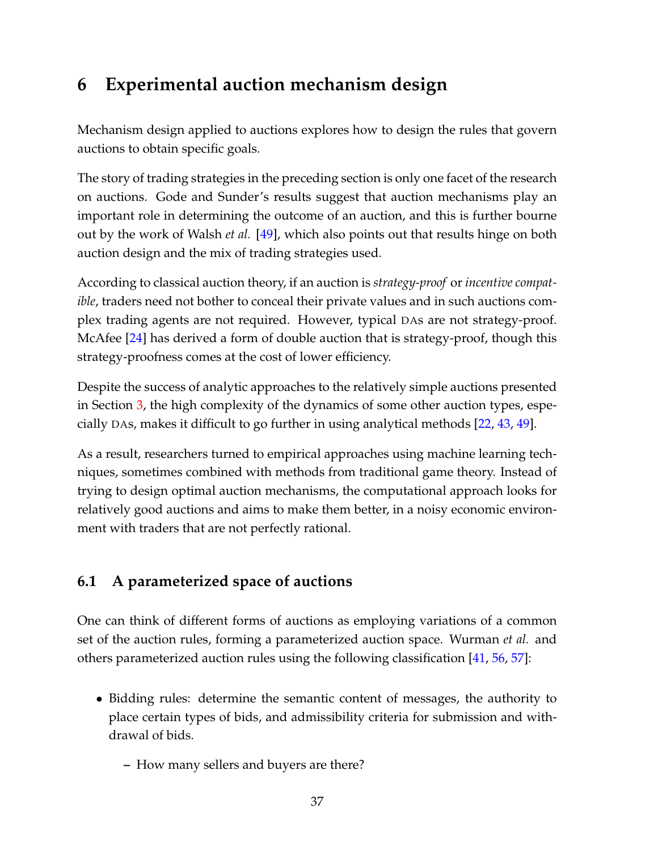## <span id="page-38-0"></span>**6 Experimental auction mechanism design**

Mechanism design applied to auctions explores how to design the rules that govern auctions to obtain specific goals.

The story of trading strategies in the preceding section is only one facet of the research on auctions. Gode and Sunder's results suggest that auction mechanisms play an important role in determining the outcome of an auction, and this is further bourne out by the work of Walsh *et al.* [\[49\]](#page-50-7), which also points out that results hinge on both auction design and the mix of trading strategies used.

According to classical auction theory, if an auction is *strategy-proof* or *incentive compatible*, traders need not bother to conceal their private values and in such auctions complex trading agents are not required. However, typical DAs are not strategy-proof. McAfee [\[24\]](#page-48-9) has derived a form of double auction that is strategy-proof, though this strategy-proofness comes at the cost of lower efficiency.

Despite the success of analytic approaches to the relatively simple auctions presented in Section [3,](#page-16-0) the high complexity of the dynamics of some other auction types, especially DAs, makes it difficult to go further in using analytical methods [\[22,](#page-47-9) [43,](#page-49-6) [49\]](#page-50-7).

As a result, researchers turned to empirical approaches using machine learning techniques, sometimes combined with methods from traditional game theory. Instead of trying to design optimal auction mechanisms, the computational approach looks for relatively good auctions and aims to make them better, in a noisy economic environment with traders that are not perfectly rational.

### <span id="page-38-1"></span>**6.1 A parameterized space of auctions**

One can think of different forms of auctions as employing variations of a common set of the auction rules, forming a parameterized auction space. Wurman *et al.* and others parameterized auction rules using the following classification [\[41,](#page-49-7) [56,](#page-50-10) [57\]](#page-51-0):

- Bidding rules: determine the semantic content of messages, the authority to place certain types of bids, and admissibility criteria for submission and withdrawal of bids.
	- **–** How many sellers and buyers are there?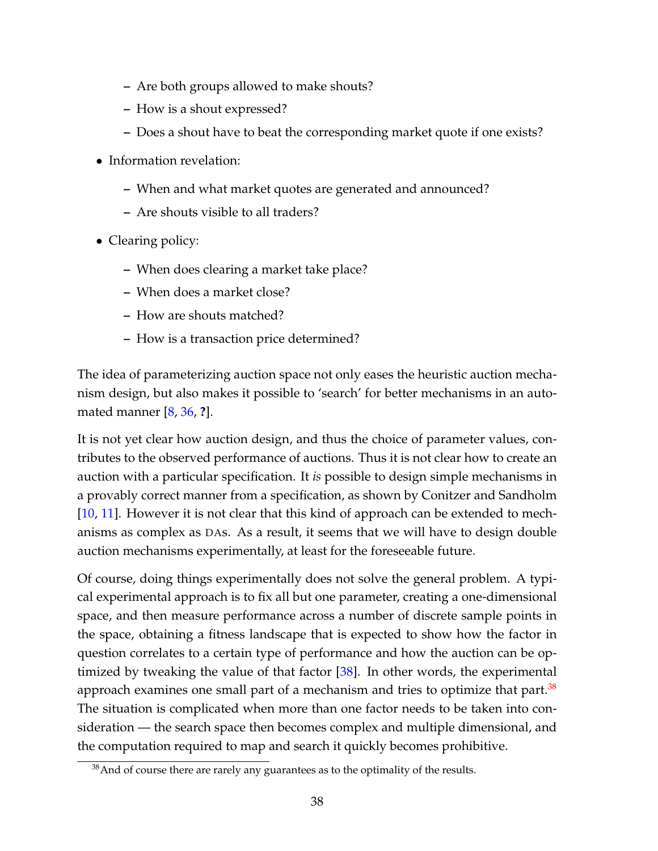- **–** Are both groups allowed to make shouts?
- **–** How is a shout expressed?
- **–** Does a shout have to beat the corresponding market quote if one exists?
- Information revelation:
	- **–** When and what market quotes are generated and announced?
	- **–** Are shouts visible to all traders?
- Clearing policy:
	- **–** When does clearing a market take place?
	- **–** When does a market close?
	- **–** How are shouts matched?
	- **–** How is a transaction price determined?

The idea of parameterizing auction space not only eases the heuristic auction mechanism design, but also makes it possible to 'search' for better mechanisms in an automated manner [\[8,](#page-46-6) [36,](#page-49-8) **?**].

It is not yet clear how auction design, and thus the choice of parameter values, contributes to the observed performance of auctions. Thus it is not clear how to create an auction with a particular specification. It *is* possible to design simple mechanisms in a provably correct manner from a specification, as shown by Conitzer and Sandholm [\[10,](#page-46-7) [11\]](#page-47-10). However it is not clear that this kind of approach can be extended to mechanisms as complex as DAs. As a result, it seems that we will have to design double auction mechanisms experimentally, at least for the foreseeable future.

Of course, doing things experimentally does not solve the general problem. A typical experimental approach is to fix all but one parameter, creating a one-dimensional space, and then measure performance across a number of discrete sample points in the space, obtaining a fitness landscape that is expected to show how the factor in question correlates to a certain type of performance and how the auction can be optimized by tweaking the value of that factor [\[38\]](#page-49-4). In other words, the experimental approach examines one small part of a mechanism and tries to optimize that part. $38$ The situation is complicated when more than one factor needs to be taken into consideration — the search space then becomes complex and multiple dimensional, and the computation required to map and search it quickly becomes prohibitive.

 $38$ And of course there are rarely any guarantees as to the optimality of the results.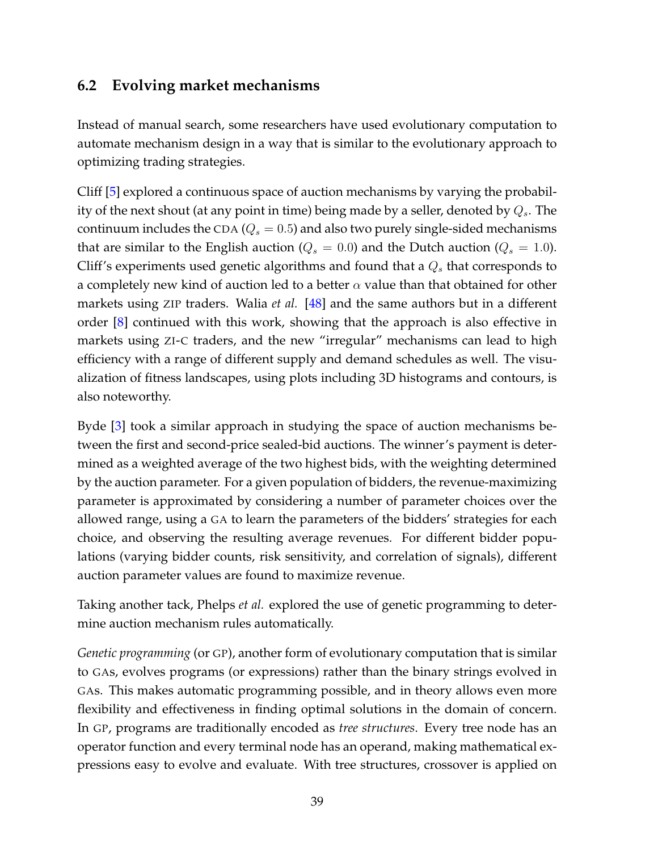#### <span id="page-40-0"></span>**6.2 Evolving market mechanisms**

Instead of manual search, some researchers have used evolutionary computation to automate mechanism design in a way that is similar to the evolutionary approach to optimizing trading strategies.

Cliff [\[5\]](#page-46-8) explored a continuous space of auction mechanisms by varying the probability of the next shout (at any point in time) being made by a seller, denoted by  $Q_s$ . The continuum includes the CDA ( $Q_s = 0.5$ ) and also two purely single-sided mechanisms that are similar to the English auction ( $Q_s = 0.0$ ) and the Dutch auction ( $Q_s = 1.0$ ). Cliff's experiments used genetic algorithms and found that a  $Q_s$  that corresponds to a completely new kind of auction led to a better  $\alpha$  value than that obtained for other markets using ZIP traders. Walia *et al.* [\[48\]](#page-50-11) and the same authors but in a different order [\[8\]](#page-46-6) continued with this work, showing that the approach is also effective in markets using ZI-C traders, and the new "irregular" mechanisms can lead to high efficiency with a range of different supply and demand schedules as well. The visualization of fitness landscapes, using plots including 3D histograms and contours, is also noteworthy.

Byde [\[3\]](#page-46-9) took a similar approach in studying the space of auction mechanisms between the first and second-price sealed-bid auctions. The winner's payment is determined as a weighted average of the two highest bids, with the weighting determined by the auction parameter. For a given population of bidders, the revenue-maximizing parameter is approximated by considering a number of parameter choices over the allowed range, using a GA to learn the parameters of the bidders' strategies for each choice, and observing the resulting average revenues. For different bidder populations (varying bidder counts, risk sensitivity, and correlation of signals), different auction parameter values are found to maximize revenue.

Taking another tack, Phelps *et al.* explored the use of genetic programming to determine auction mechanism rules automatically.

*Genetic programming* (or GP), another form of evolutionary computation that is similar to GAs, evolves programs (or expressions) rather than the binary strings evolved in GAs. This makes automatic programming possible, and in theory allows even more flexibility and effectiveness in finding optimal solutions in the domain of concern. In GP, programs are traditionally encoded as *tree structures*. Every tree node has an operator function and every terminal node has an operand, making mathematical expressions easy to evolve and evaluate. With tree structures, crossover is applied on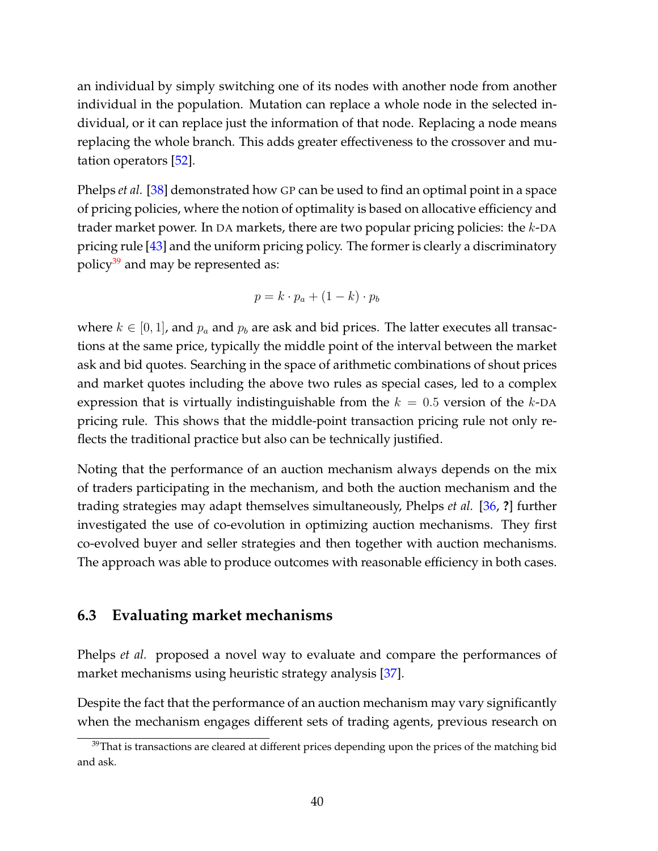an individual by simply switching one of its nodes with another node from another individual in the population. Mutation can replace a whole node in the selected individual, or it can replace just the information of that node. Replacing a node means replacing the whole branch. This adds greater effectiveness to the crossover and mutation operators [\[52\]](#page-50-2).

Phelps *et al.* [\[38\]](#page-49-4) demonstrated how GP can be used to find an optimal point in a space of pricing policies, where the notion of optimality is based on allocative efficiency and trader market power. In DA markets, there are two popular pricing policies: the k-DA pricing rule [\[43\]](#page-49-6) and the uniform pricing policy. The former is clearly a discriminatory policy $39$  and may be represented as:

$$
p = k \cdot p_a + (1 - k) \cdot p_b
$$

where  $k \in [0, 1]$ , and  $p_a$  and  $p_b$  are ask and bid prices. The latter executes all transactions at the same price, typically the middle point of the interval between the market ask and bid quotes. Searching in the space of arithmetic combinations of shout prices and market quotes including the above two rules as special cases, led to a complex expression that is virtually indistinguishable from the  $k = 0.5$  version of the k-DA pricing rule. This shows that the middle-point transaction pricing rule not only reflects the traditional practice but also can be technically justified.

Noting that the performance of an auction mechanism always depends on the mix of traders participating in the mechanism, and both the auction mechanism and the trading strategies may adapt themselves simultaneously, Phelps *et al.* [\[36,](#page-49-8) **?**] further investigated the use of co-evolution in optimizing auction mechanisms. They first co-evolved buyer and seller strategies and then together with auction mechanisms. The approach was able to produce outcomes with reasonable efficiency in both cases.

#### <span id="page-41-0"></span>**6.3 Evaluating market mechanisms**

Phelps *et al.* proposed a novel way to evaluate and compare the performances of market mechanisms using heuristic strategy analysis [\[37\]](#page-49-9).

Despite the fact that the performance of an auction mechanism may vary significantly when the mechanism engages different sets of trading agents, previous research on

<sup>&</sup>lt;sup>39</sup>That is transactions are cleared at different prices depending upon the prices of the matching bid and ask.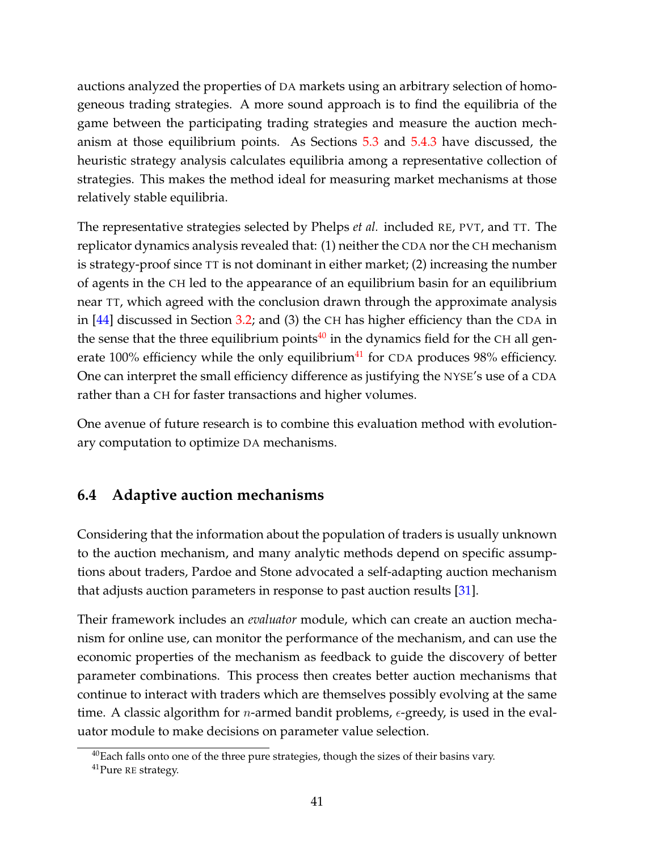auctions analyzed the properties of DA markets using an arbitrary selection of homogeneous trading strategies. A more sound approach is to find the equilibria of the game between the participating trading strategies and measure the auction mechanism at those equilibrium points. As Sections [5.3](#page-30-0) and [5.4.3](#page-35-1) have discussed, the heuristic strategy analysis calculates equilibria among a representative collection of strategies. This makes the method ideal for measuring market mechanisms at those relatively stable equilibria.

The representative strategies selected by Phelps *et al.* included RE, PVT, and TT. The replicator dynamics analysis revealed that: (1) neither the CDA nor the CH mechanism is strategy-proof since TT is not dominant in either market; (2) increasing the number of agents in the CH led to the appearance of an equilibrium basin for an equilibrium near TT, which agreed with the conclusion drawn through the approximate analysis in [\[44\]](#page-49-0) discussed in Section [3.2;](#page-17-0) and (3) the CH has higher efficiency than the CDA in the sense that the three equilibrium points $40$  in the dynamics field for the CH all generate  $100\%$  efficiency while the only equilibrium<sup>[41](#page-1-0)</sup> for CDA produces 98% efficiency. One can interpret the small efficiency difference as justifying the NYSE's use of a CDA rather than a CH for faster transactions and higher volumes.

One avenue of future research is to combine this evaluation method with evolutionary computation to optimize DA mechanisms.

### <span id="page-42-0"></span>**6.4 Adaptive auction mechanisms**

Considering that the information about the population of traders is usually unknown to the auction mechanism, and many analytic methods depend on specific assumptions about traders, Pardoe and Stone advocated a self-adapting auction mechanism that adjusts auction parameters in response to past auction results [\[31\]](#page-48-10).

Their framework includes an *evaluator* module, which can create an auction mechanism for online use, can monitor the performance of the mechanism, and can use the economic properties of the mechanism as feedback to guide the discovery of better parameter combinations. This process then creates better auction mechanisms that continue to interact with traders which are themselves possibly evolving at the same time. A classic algorithm for *n*-armed bandit problems,  $\epsilon$ -greedy, is used in the evaluator module to make decisions on parameter value selection.

 $40$ Each falls onto one of the three pure strategies, though the sizes of their basins vary.

<sup>&</sup>lt;sup>41</sup>Pure RE strategy.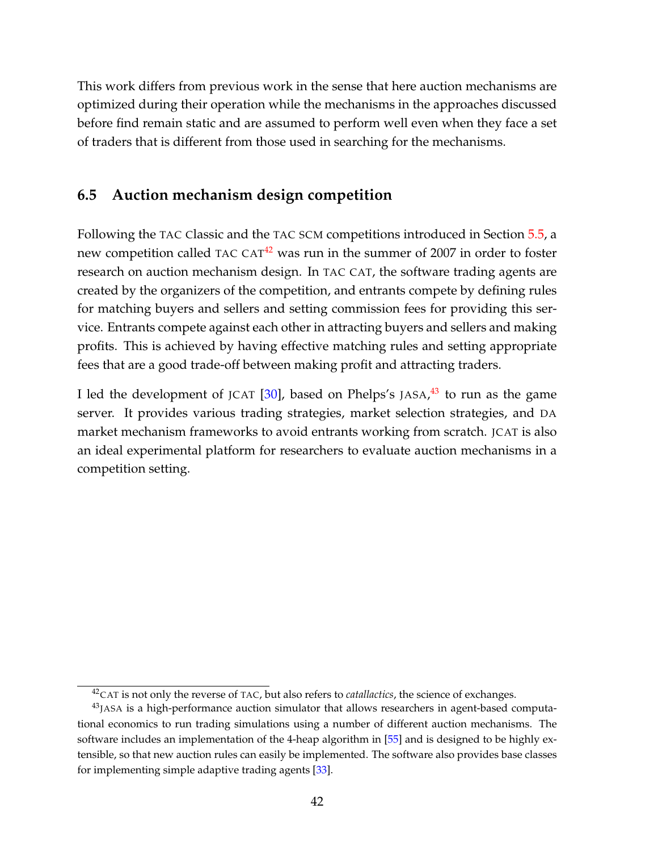This work differs from previous work in the sense that here auction mechanisms are optimized during their operation while the mechanisms in the approaches discussed before find remain static and are assumed to perform well even when they face a set of traders that is different from those used in searching for the mechanisms.

#### <span id="page-43-0"></span>**6.5 Auction mechanism design competition**

Following the TAC Classic and the TAC SCM competitions introduced in Section [5.5,](#page-36-0) a new competition called TAC CAT $42$  was run in the summer of 2007 in order to foster research on auction mechanism design. In TAC CAT, the software trading agents are created by the organizers of the competition, and entrants compete by defining rules for matching buyers and sellers and setting commission fees for providing this service. Entrants compete against each other in attracting buyers and sellers and making profits. This is achieved by having effective matching rules and setting appropriate fees that are a good trade-off between making profit and attracting traders.

I led the development of JCAT [\[30\]](#page-48-11), based on Phelps's JASA,<sup>[43](#page-1-0)</sup> to run as the game server. It provides various trading strategies, market selection strategies, and DA market mechanism frameworks to avoid entrants working from scratch. JCAT is also an ideal experimental platform for researchers to evaluate auction mechanisms in a competition setting.

<sup>42</sup>CAT is not only the reverse of TAC, but also refers to *catallactics*, the science of exchanges.

 $43$ JASA is a high-performance auction simulator that allows researchers in agent-based computational economics to run trading simulations using a number of different auction mechanisms. The software includes an implementation of the 4-heap algorithm in [\[55\]](#page-50-5) and is designed to be highly extensible, so that new auction rules can easily be implemented. The software also provides base classes for implementing simple adaptive trading agents [\[33\]](#page-48-6).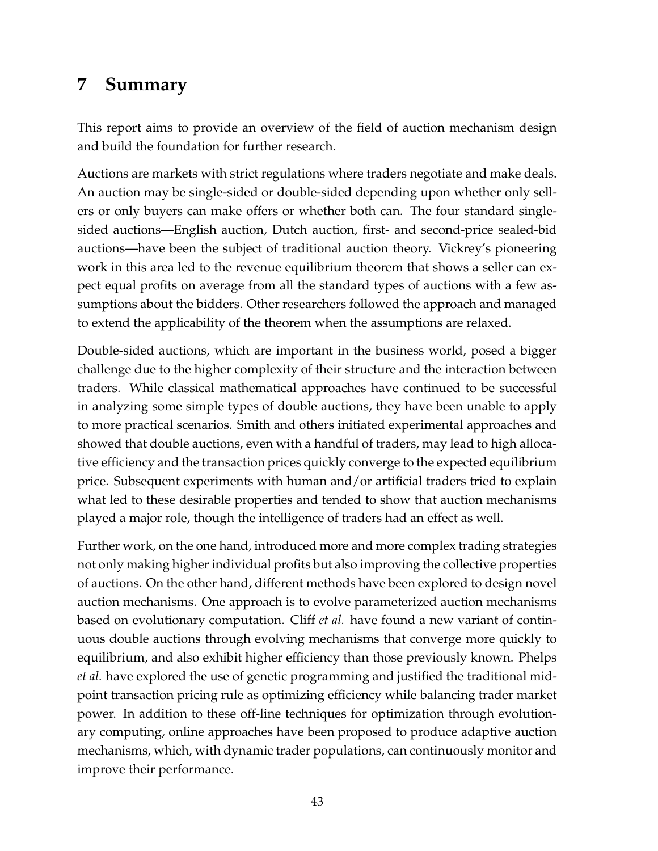## <span id="page-44-0"></span>**7 Summary**

This report aims to provide an overview of the field of auction mechanism design and build the foundation for further research.

Auctions are markets with strict regulations where traders negotiate and make deals. An auction may be single-sided or double-sided depending upon whether only sellers or only buyers can make offers or whether both can. The four standard singlesided auctions—English auction, Dutch auction, first- and second-price sealed-bid auctions—have been the subject of traditional auction theory. Vickrey's pioneering work in this area led to the revenue equilibrium theorem that shows a seller can expect equal profits on average from all the standard types of auctions with a few assumptions about the bidders. Other researchers followed the approach and managed to extend the applicability of the theorem when the assumptions are relaxed.

Double-sided auctions, which are important in the business world, posed a bigger challenge due to the higher complexity of their structure and the interaction between traders. While classical mathematical approaches have continued to be successful in analyzing some simple types of double auctions, they have been unable to apply to more practical scenarios. Smith and others initiated experimental approaches and showed that double auctions, even with a handful of traders, may lead to high allocative efficiency and the transaction prices quickly converge to the expected equilibrium price. Subsequent experiments with human and/or artificial traders tried to explain what led to these desirable properties and tended to show that auction mechanisms played a major role, though the intelligence of traders had an effect as well.

Further work, on the one hand, introduced more and more complex trading strategies not only making higher individual profits but also improving the collective properties of auctions. On the other hand, different methods have been explored to design novel auction mechanisms. One approach is to evolve parameterized auction mechanisms based on evolutionary computation. Cliff *et al.* have found a new variant of continuous double auctions through evolving mechanisms that converge more quickly to equilibrium, and also exhibit higher efficiency than those previously known. Phelps *et al.* have explored the use of genetic programming and justified the traditional midpoint transaction pricing rule as optimizing efficiency while balancing trader market power. In addition to these off-line techniques for optimization through evolutionary computing, online approaches have been proposed to produce adaptive auction mechanisms, which, with dynamic trader populations, can continuously monitor and improve their performance.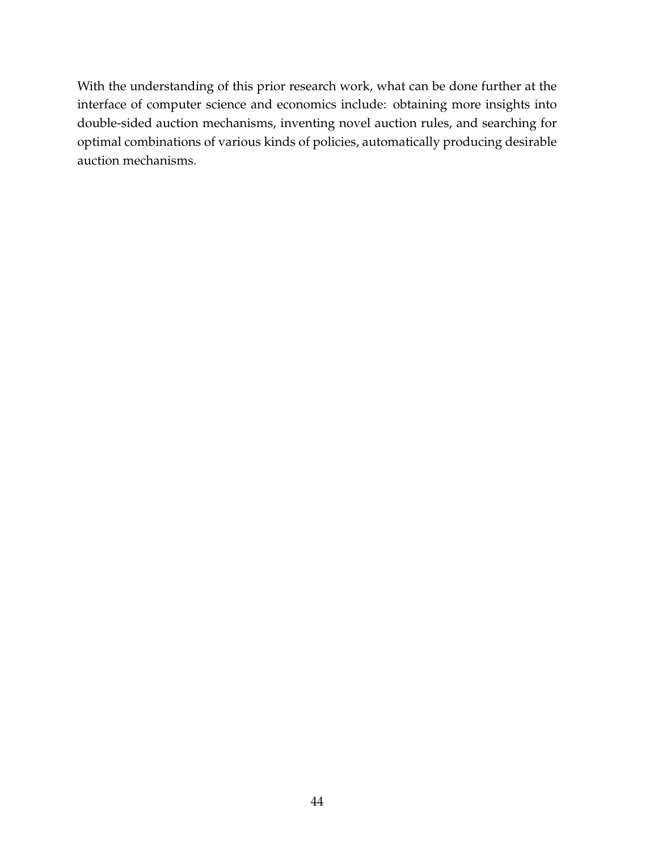With the understanding of this prior research work, what can be done further at the interface of computer science and economics include: obtaining more insights into double-sided auction mechanisms, inventing novel auction rules, and searching for optimal combinations of various kinds of policies, automatically producing desirable auction mechanisms.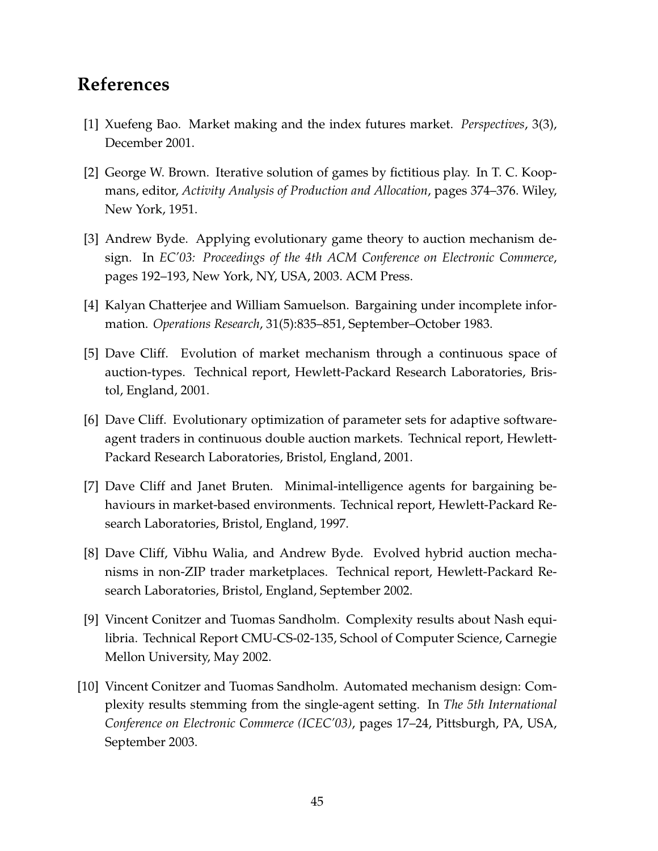### **References**

- <span id="page-46-1"></span>[1] Xuefeng Bao. Market making and the index futures market. *Perspectives*, 3(3), December 2001.
- <span id="page-46-3"></span>[2] George W. Brown. Iterative solution of games by fictitious play. In T. C. Koopmans, editor, *Activity Analysis of Production and Allocation*, pages 374–376. Wiley, New York, 1951.
- <span id="page-46-9"></span>[3] Andrew Byde. Applying evolutionary game theory to auction mechanism design. In *EC'03: Proceedings of the 4th ACM Conference on Electronic Commerce*, pages 192–193, New York, NY, USA, 2003. ACM Press.
- <span id="page-46-4"></span>[4] Kalyan Chatterjee and William Samuelson. Bargaining under incomplete information. *Operations Research*, 31(5):835–851, September–October 1983.
- <span id="page-46-8"></span>[5] Dave Cliff. Evolution of market mechanism through a continuous space of auction-types. Technical report, Hewlett-Packard Research Laboratories, Bristol, England, 2001.
- <span id="page-46-5"></span>[6] Dave Cliff. Evolutionary optimization of parameter sets for adaptive softwareagent traders in continuous double auction markets. Technical report, Hewlett-Packard Research Laboratories, Bristol, England, 2001.
- <span id="page-46-0"></span>[7] Dave Cliff and Janet Bruten. Minimal-intelligence agents for bargaining behaviours in market-based environments. Technical report, Hewlett-Packard Research Laboratories, Bristol, England, 1997.
- <span id="page-46-6"></span>[8] Dave Cliff, Vibhu Walia, and Andrew Byde. Evolved hybrid auction mechanisms in non-ZIP trader marketplaces. Technical report, Hewlett-Packard Research Laboratories, Bristol, England, September 2002.
- <span id="page-46-2"></span>[9] Vincent Conitzer and Tuomas Sandholm. Complexity results about Nash equilibria. Technical Report CMU-CS-02-135, School of Computer Science, Carnegie Mellon University, May 2002.
- <span id="page-46-7"></span>[10] Vincent Conitzer and Tuomas Sandholm. Automated mechanism design: Complexity results stemming from the single-agent setting. In *The 5th International Conference on Electronic Commerce (ICEC'03)*, pages 17–24, Pittsburgh, PA, USA, September 2003.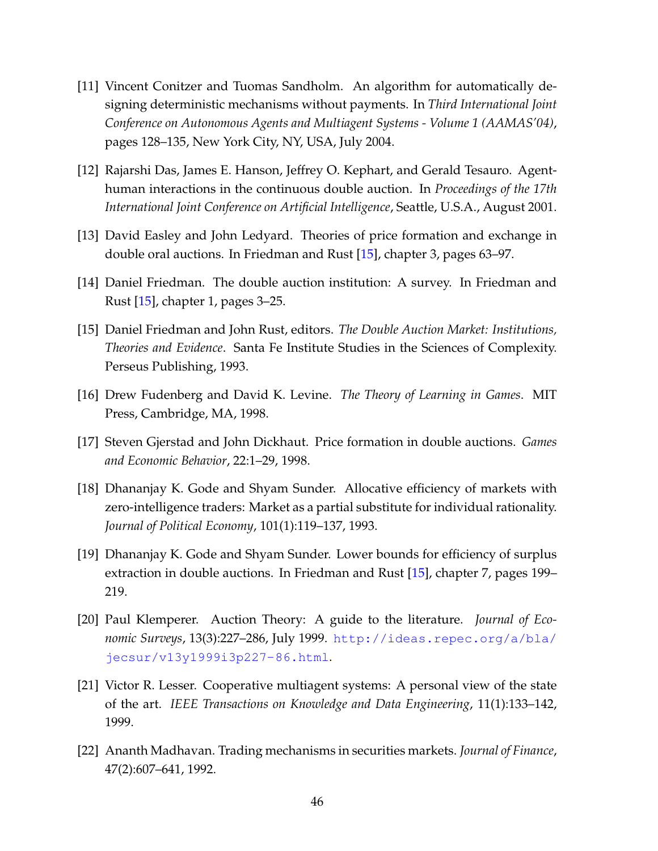- <span id="page-47-10"></span>[11] Vincent Conitzer and Tuomas Sandholm. An algorithm for automatically designing deterministic mechanisms without payments. In *Third International Joint Conference on Autonomous Agents and Multiagent Systems - Volume 1 (AAMAS'04)*, pages 128–135, New York City, NY, USA, July 2004.
- <span id="page-47-8"></span>[12] Rajarshi Das, James E. Hanson, Jeffrey O. Kephart, and Gerald Tesauro. Agenthuman interactions in the continuous double auction. In *Proceedings of the 17th International Joint Conference on Artificial Intelligence*, Seattle, U.S.A., August 2001.
- <span id="page-47-1"></span>[13] David Easley and John Ledyard. Theories of price formation and exchange in double oral auctions. In Friedman and Rust [\[15\]](#page-47-11), chapter 3, pages 63–97.
- <span id="page-47-0"></span>[14] Daniel Friedman. The double auction institution: A survey. In Friedman and Rust [\[15\]](#page-47-11), chapter 1, pages 3–25.
- <span id="page-47-11"></span>[15] Daniel Friedman and John Rust, editors. *The Double Auction Market: Institutions, Theories and Evidence*. Santa Fe Institute Studies in the Sciences of Complexity. Perseus Publishing, 1993.
- <span id="page-47-3"></span>[16] Drew Fudenberg and David K. Levine. *The Theory of Learning in Games*. MIT Press, Cambridge, MA, 1998.
- <span id="page-47-7"></span>[17] Steven Gjerstad and John Dickhaut. Price formation in double auctions. *Games and Economic Behavior*, 22:1–29, 1998.
- <span id="page-47-5"></span>[18] Dhananjay K. Gode and Shyam Sunder. Allocative efficiency of markets with zero-intelligence traders: Market as a partial substitute for individual rationality. *Journal of Political Economy*, 101(1):119–137, 1993.
- <span id="page-47-6"></span>[19] Dhananjay K. Gode and Shyam Sunder. Lower bounds for efficiency of surplus extraction in double auctions. In Friedman and Rust [\[15\]](#page-47-11), chapter 7, pages 199– 219.
- <span id="page-47-4"></span>[20] Paul Klemperer. Auction Theory: A guide to the literature. *Journal of Economic Surveys*, 13(3):227–286, July 1999. [http://ideas.repec.org/a/bla/](http://ideas.repec.org/a/bla/jecsur/v13y1999i3p227-86.html) [jecsur/v13y1999i3p227-86.html](http://ideas.repec.org/a/bla/jecsur/v13y1999i3p227-86.html).
- <span id="page-47-2"></span>[21] Victor R. Lesser. Cooperative multiagent systems: A personal view of the state of the art. *IEEE Transactions on Knowledge and Data Engineering*, 11(1):133–142, 1999.
- <span id="page-47-9"></span>[22] Ananth Madhavan. Trading mechanisms in securities markets. *Journal of Finance*, 47(2):607–641, 1992.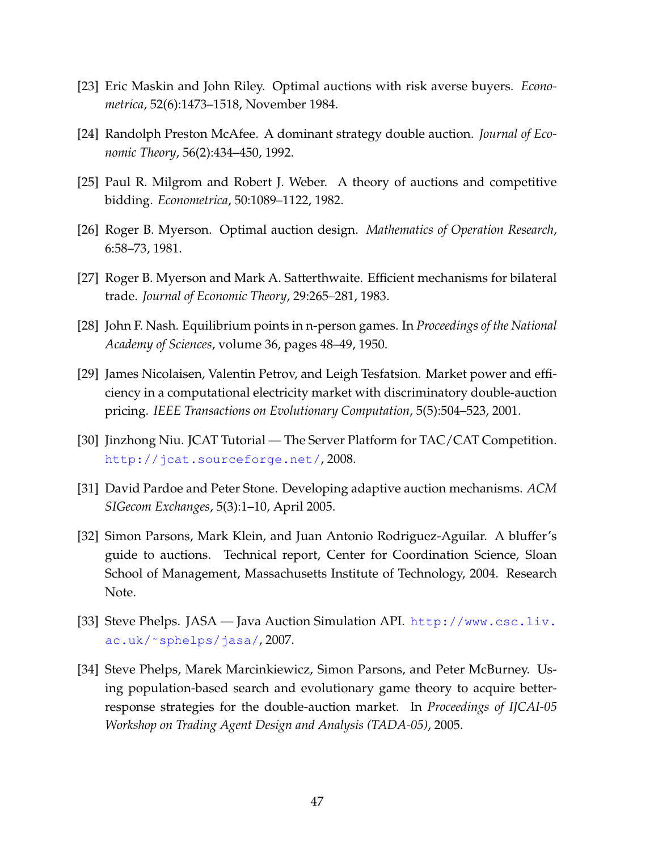- <span id="page-48-4"></span>[23] Eric Maskin and John Riley. Optimal auctions with risk averse buyers. *Econometrica*, 52(6):1473–1518, November 1984.
- <span id="page-48-9"></span>[24] Randolph Preston McAfee. A dominant strategy double auction. *Journal of Economic Theory*, 56(2):434–450, 1992.
- <span id="page-48-2"></span>[25] Paul R. Milgrom and Robert J. Weber. A theory of auctions and competitive bidding. *Econometrica*, 50:1089–1122, 1982.
- <span id="page-48-3"></span>[26] Roger B. Myerson. Optimal auction design. *Mathematics of Operation Research*, 6:58–73, 1981.
- <span id="page-48-5"></span>[27] Roger B. Myerson and Mark A. Satterthwaite. Efficient mechanisms for bilateral trade. *Journal of Economic Theory*, 29:265–281, 1983.
- <span id="page-48-0"></span>[28] John F. Nash. Equilibrium points in n-person games. In *Proceedings of the National Academy of Sciences*, volume 36, pages 48–49, 1950.
- <span id="page-48-8"></span>[29] James Nicolaisen, Valentin Petrov, and Leigh Tesfatsion. Market power and efficiency in a computational electricity market with discriminatory double-auction pricing. *IEEE Transactions on Evolutionary Computation*, 5(5):504–523, 2001.
- <span id="page-48-11"></span>[30] Jinzhong Niu. JCAT Tutorial — The Server Platform for TAC/CAT Competition. <http://jcat.sourceforge.net/>, 2008.
- <span id="page-48-10"></span>[31] David Pardoe and Peter Stone. Developing adaptive auction mechanisms. *ACM SIGecom Exchanges*, 5(3):1–10, April 2005.
- <span id="page-48-1"></span>[32] Simon Parsons, Mark Klein, and Juan Antonio Rodriguez-Aguilar. A bluffer's guide to auctions. Technical report, Center for Coordination Science, Sloan School of Management, Massachusetts Institute of Technology, 2004. Research Note.
- <span id="page-48-6"></span>[33] Steve Phelps. JASA — Java Auction Simulation API. [http://www.csc.liv.](http://www.csc.liv.ac.uk/~sphelps/jasa/) [ac.uk/˜sphelps/jasa/](http://www.csc.liv.ac.uk/~sphelps/jasa/), 2007.
- <span id="page-48-7"></span>[34] Steve Phelps, Marek Marcinkiewicz, Simon Parsons, and Peter McBurney. Using population-based search and evolutionary game theory to acquire betterresponse strategies for the double-auction market. In *Proceedings of IJCAI-05 Workshop on Trading Agent Design and Analysis (TADA-05)*, 2005.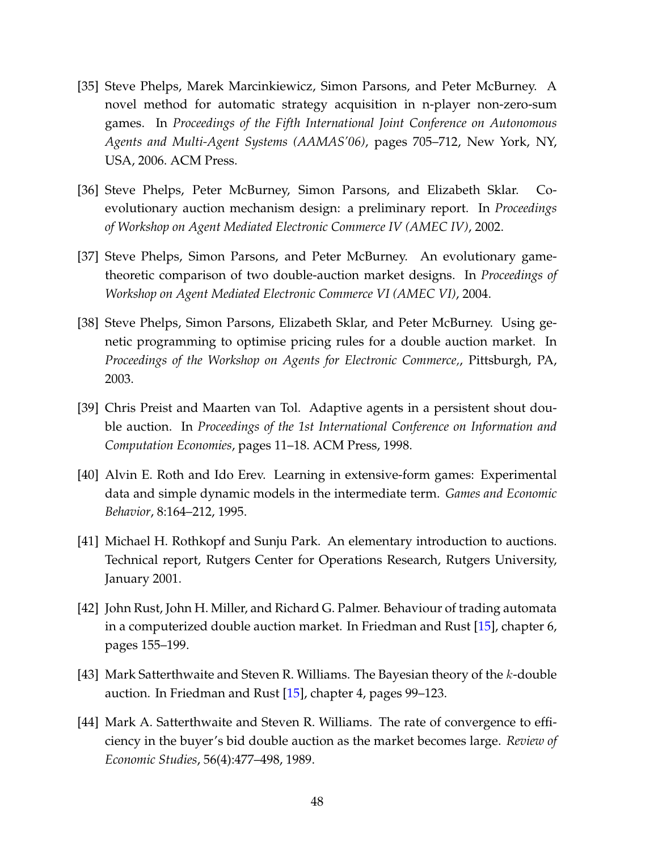- <span id="page-49-5"></span>[35] Steve Phelps, Marek Marcinkiewicz, Simon Parsons, and Peter McBurney. A novel method for automatic strategy acquisition in n-player non-zero-sum games. In *Proceedings of the Fifth International Joint Conference on Autonomous Agents and Multi-Agent Systems (AAMAS'06)*, pages 705–712, New York, NY, USA, 2006. ACM Press.
- <span id="page-49-8"></span>[36] Steve Phelps, Peter McBurney, Simon Parsons, and Elizabeth Sklar. Coevolutionary auction mechanism design: a preliminary report. In *Proceedings of Workshop on Agent Mediated Electronic Commerce IV (AMEC IV)*, 2002.
- <span id="page-49-9"></span>[37] Steve Phelps, Simon Parsons, and Peter McBurney. An evolutionary gametheoretic comparison of two double-auction market designs. In *Proceedings of Workshop on Agent Mediated Electronic Commerce VI (AMEC VI)*, 2004.
- <span id="page-49-4"></span>[38] Steve Phelps, Simon Parsons, Elizabeth Sklar, and Peter McBurney. Using genetic programming to optimise pricing rules for a double auction market. In *Proceedings of the Workshop on Agents for Electronic Commerce,*, Pittsburgh, PA, 2003.
- <span id="page-49-1"></span>[39] Chris Preist and Maarten van Tol. Adaptive agents in a persistent shout double auction. In *Proceedings of the 1st International Conference on Information and Computation Economies*, pages 11–18. ACM Press, 1998.
- <span id="page-49-2"></span>[40] Alvin E. Roth and Ido Erev. Learning in extensive-form games: Experimental data and simple dynamic models in the intermediate term. *Games and Economic Behavior*, 8:164–212, 1995.
- <span id="page-49-7"></span>[41] Michael H. Rothkopf and Sunju Park. An elementary introduction to auctions. Technical report, Rutgers Center for Operations Research, Rutgers University, January 2001.
- <span id="page-49-3"></span>[42] John Rust, John H. Miller, and Richard G. Palmer. Behaviour of trading automata in a computerized double auction market. In Friedman and Rust [\[15\]](#page-47-11), chapter 6, pages 155–199.
- <span id="page-49-6"></span>[43] Mark Satterthwaite and Steven R. Williams. The Bayesian theory of the k-double auction. In Friedman and Rust [\[15\]](#page-47-11), chapter 4, pages 99–123.
- <span id="page-49-0"></span>[44] Mark A. Satterthwaite and Steven R. Williams. The rate of convergence to efficiency in the buyer's bid double auction as the market becomes large. *Review of Economic Studies*, 56(4):477–498, 1989.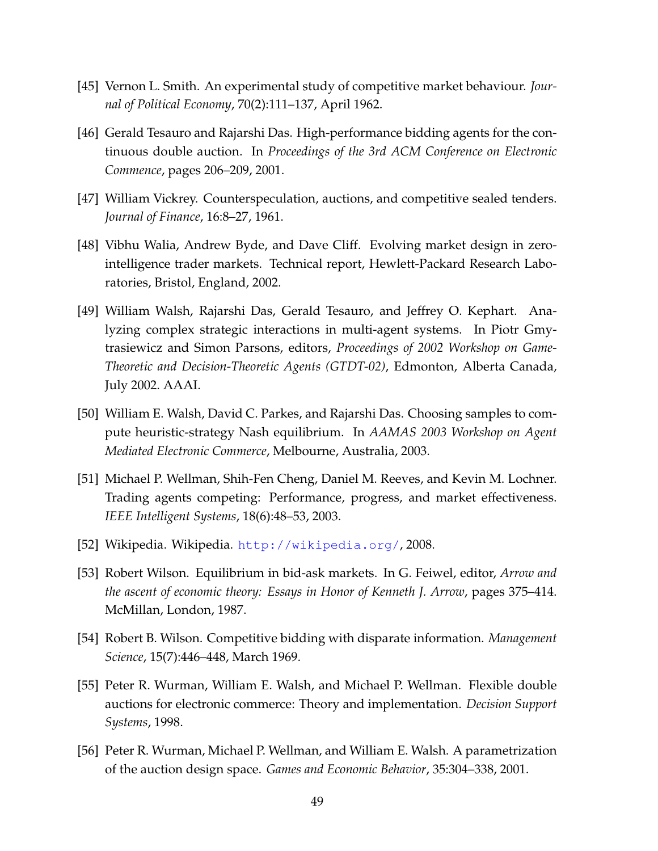- <span id="page-50-1"></span>[45] Vernon L. Smith. An experimental study of competitive market behaviour. *Journal of Political Economy*, 70(2):111–137, April 1962.
- <span id="page-50-6"></span>[46] Gerald Tesauro and Rajarshi Das. High-performance bidding agents for the continuous double auction. In *Proceedings of the 3rd ACM Conference on Electronic Commence*, pages 206–209, 2001.
- <span id="page-50-0"></span>[47] William Vickrey. Counterspeculation, auctions, and competitive sealed tenders. *Journal of Finance*, 16:8–27, 1961.
- <span id="page-50-11"></span>[48] Vibhu Walia, Andrew Byde, and Dave Cliff. Evolving market design in zerointelligence trader markets. Technical report, Hewlett-Packard Research Laboratories, Bristol, England, 2002.
- <span id="page-50-7"></span>[49] William Walsh, Rajarshi Das, Gerald Tesauro, and Jeffrey O. Kephart. Analyzing complex strategic interactions in multi-agent systems. In Piotr Gmytrasiewicz and Simon Parsons, editors, *Proceedings of 2002 Workshop on Game-Theoretic and Decision-Theoretic Agents (GTDT-02)*, Edmonton, Alberta Canada, July 2002. AAAI.
- <span id="page-50-8"></span>[50] William E. Walsh, David C. Parkes, and Rajarshi Das. Choosing samples to compute heuristic-strategy Nash equilibrium. In *AAMAS 2003 Workshop on Agent Mediated Electronic Commerce*, Melbourne, Australia, 2003.
- <span id="page-50-9"></span>[51] Michael P. Wellman, Shih-Fen Cheng, Daniel M. Reeves, and Kevin M. Lochner. Trading agents competing: Performance, progress, and market effectiveness. *IEEE Intelligent Systems*, 18(6):48–53, 2003.
- <span id="page-50-2"></span>[52] Wikipedia. Wikipedia. <http://wikipedia.org/>, 2008.
- <span id="page-50-4"></span>[53] Robert Wilson. Equilibrium in bid-ask markets. In G. Feiwel, editor, *Arrow and the ascent of economic theory: Essays in Honor of Kenneth J. Arrow*, pages 375–414. McMillan, London, 1987.
- <span id="page-50-3"></span>[54] Robert B. Wilson. Competitive bidding with disparate information. *Management Science*, 15(7):446–448, March 1969.
- <span id="page-50-5"></span>[55] Peter R. Wurman, William E. Walsh, and Michael P. Wellman. Flexible double auctions for electronic commerce: Theory and implementation. *Decision Support Systems*, 1998.
- <span id="page-50-10"></span>[56] Peter R. Wurman, Michael P. Wellman, and William E. Walsh. A parametrization of the auction design space. *Games and Economic Behavior*, 35:304–338, 2001.